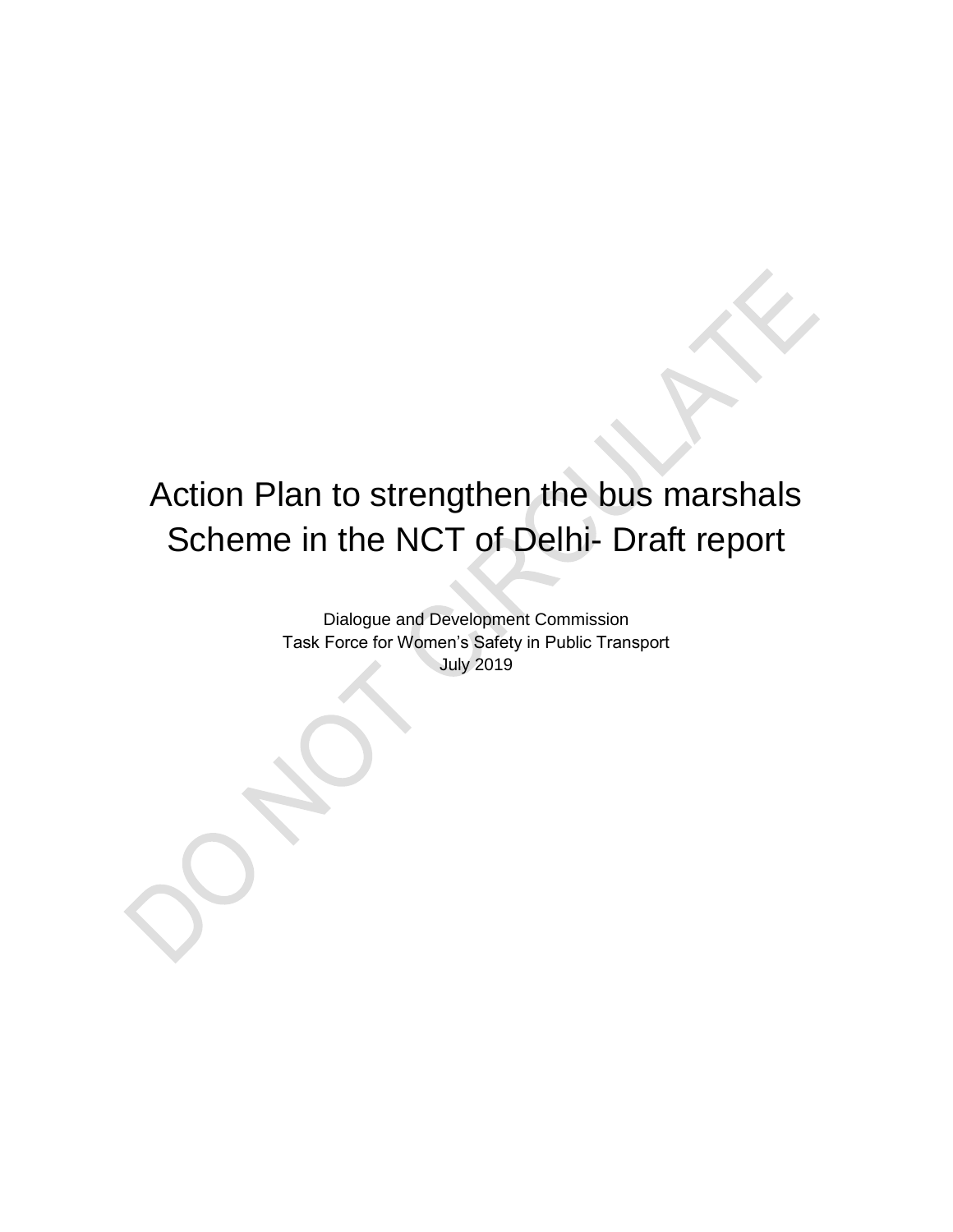# Action Plan to strengthen the bus marshals Scheme in the NCT of Delhi- Draft report

Dialogue and Development Commission Task Force for Women's Safety in Public Transport July 2019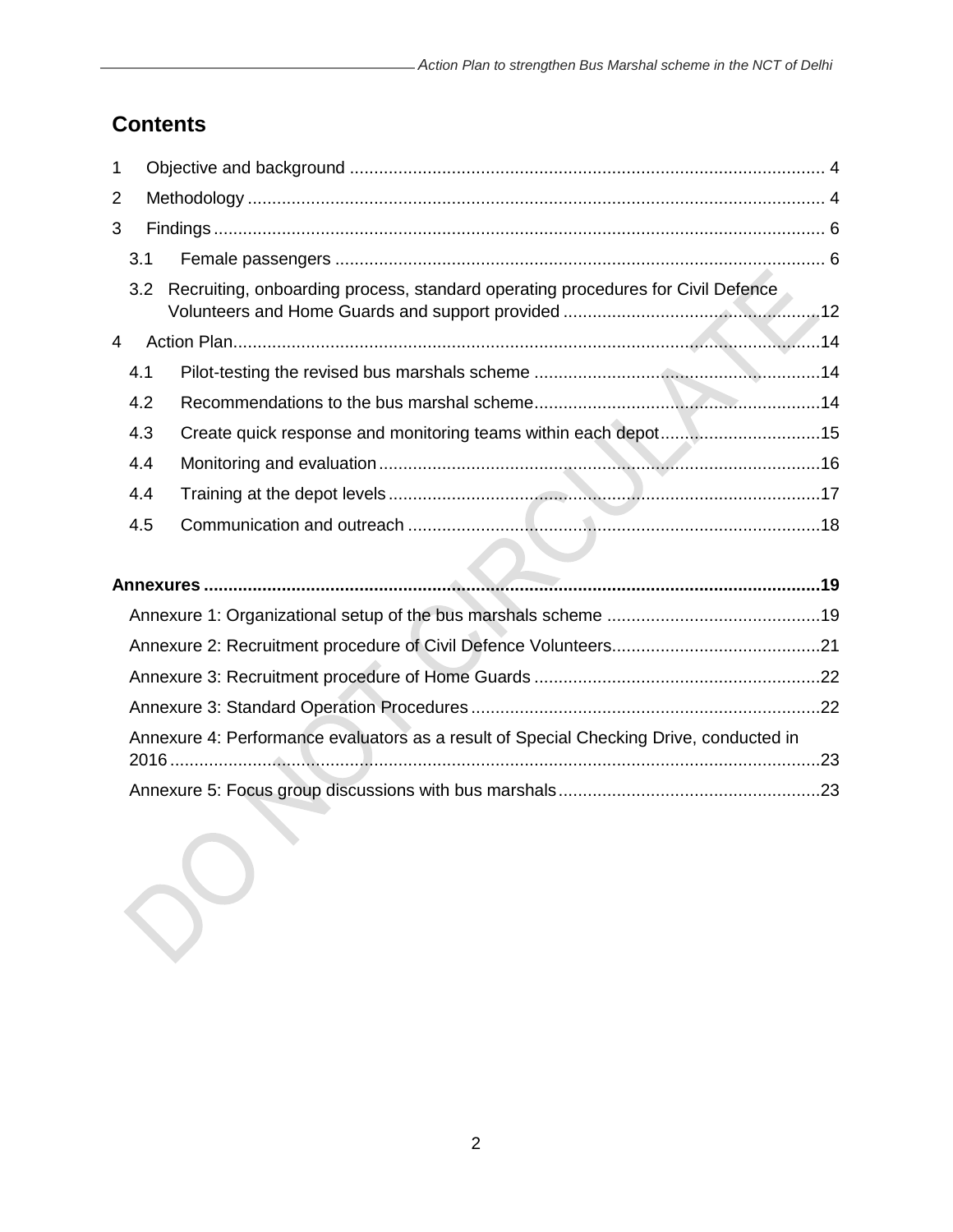# **Contents**

| 1 |                                                                                        |                                                                                 |  |  |
|---|----------------------------------------------------------------------------------------|---------------------------------------------------------------------------------|--|--|
| 2 |                                                                                        |                                                                                 |  |  |
| 3 |                                                                                        |                                                                                 |  |  |
|   | 3.1                                                                                    |                                                                                 |  |  |
|   | 3.2                                                                                    | Recruiting, onboarding process, standard operating procedures for Civil Defence |  |  |
| 4 |                                                                                        |                                                                                 |  |  |
|   | 4.1                                                                                    |                                                                                 |  |  |
|   | 4.2                                                                                    |                                                                                 |  |  |
|   | 4.3                                                                                    | Create quick response and monitoring teams within each depot15                  |  |  |
|   | 4.4                                                                                    |                                                                                 |  |  |
|   | 4.4                                                                                    |                                                                                 |  |  |
|   | 4.5                                                                                    |                                                                                 |  |  |
|   |                                                                                        |                                                                                 |  |  |
|   |                                                                                        |                                                                                 |  |  |
|   |                                                                                        |                                                                                 |  |  |
|   |                                                                                        |                                                                                 |  |  |
|   |                                                                                        |                                                                                 |  |  |
|   |                                                                                        |                                                                                 |  |  |
|   | Annexure 4: Performance evaluators as a result of Special Checking Drive, conducted in |                                                                                 |  |  |

[Annexure 5: Focus group discussions with bus marshals......................................................23](#page-22-1)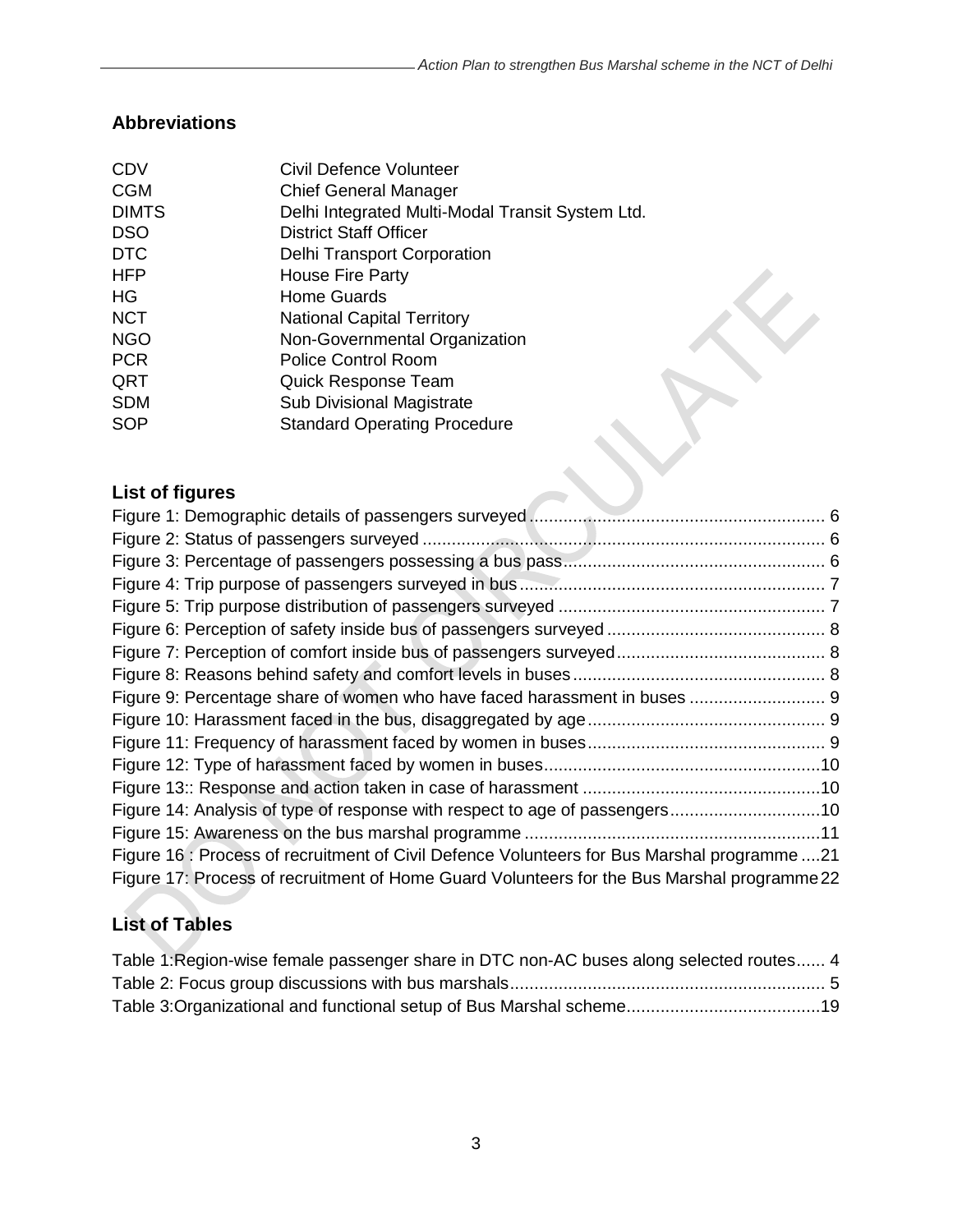X

# **Abbreviations**

| <b>CDV</b>   | Civil Defence Volunteer                          |
|--------------|--------------------------------------------------|
| <b>CGM</b>   | <b>Chief General Manager</b>                     |
| <b>DIMTS</b> | Delhi Integrated Multi-Modal Transit System Ltd. |
| <b>DSO</b>   | <b>District Staff Officer</b>                    |
| <b>DTC</b>   | <b>Delhi Transport Corporation</b>               |
| <b>HFP</b>   | <b>House Fire Party</b>                          |
| <b>HG</b>    | <b>Home Guards</b>                               |
| <b>NCT</b>   | <b>National Capital Territory</b>                |
| <b>NGO</b>   | Non-Governmental Organization                    |
| <b>PCR</b>   | <b>Police Control Room</b>                       |
| QRT          | Quick Response Team                              |
| <b>SDM</b>   | <b>Sub Divisional Magistrate</b>                 |
| <b>SOP</b>   | <b>Standard Operating Procedure</b>              |
|              |                                                  |

# **List of figures**

| Figure 9: Percentage share of women who have faced harassment in buses  9                   |  |
|---------------------------------------------------------------------------------------------|--|
|                                                                                             |  |
|                                                                                             |  |
|                                                                                             |  |
|                                                                                             |  |
| Figure 14: Analysis of type of response with respect to age of passengers10                 |  |
|                                                                                             |  |
| Figure 16 : Process of recruitment of Civil Defence Volunteers for Bus Marshal programme 21 |  |
| Figure 17: Process of recruitment of Home Guard Volunteers for the Bus Marshal programme 22 |  |

# **List of Tables**

| Table 1: Region-wise female passenger share in DTC non-AC buses along selected routes 4 |  |
|-----------------------------------------------------------------------------------------|--|
|                                                                                         |  |
|                                                                                         |  |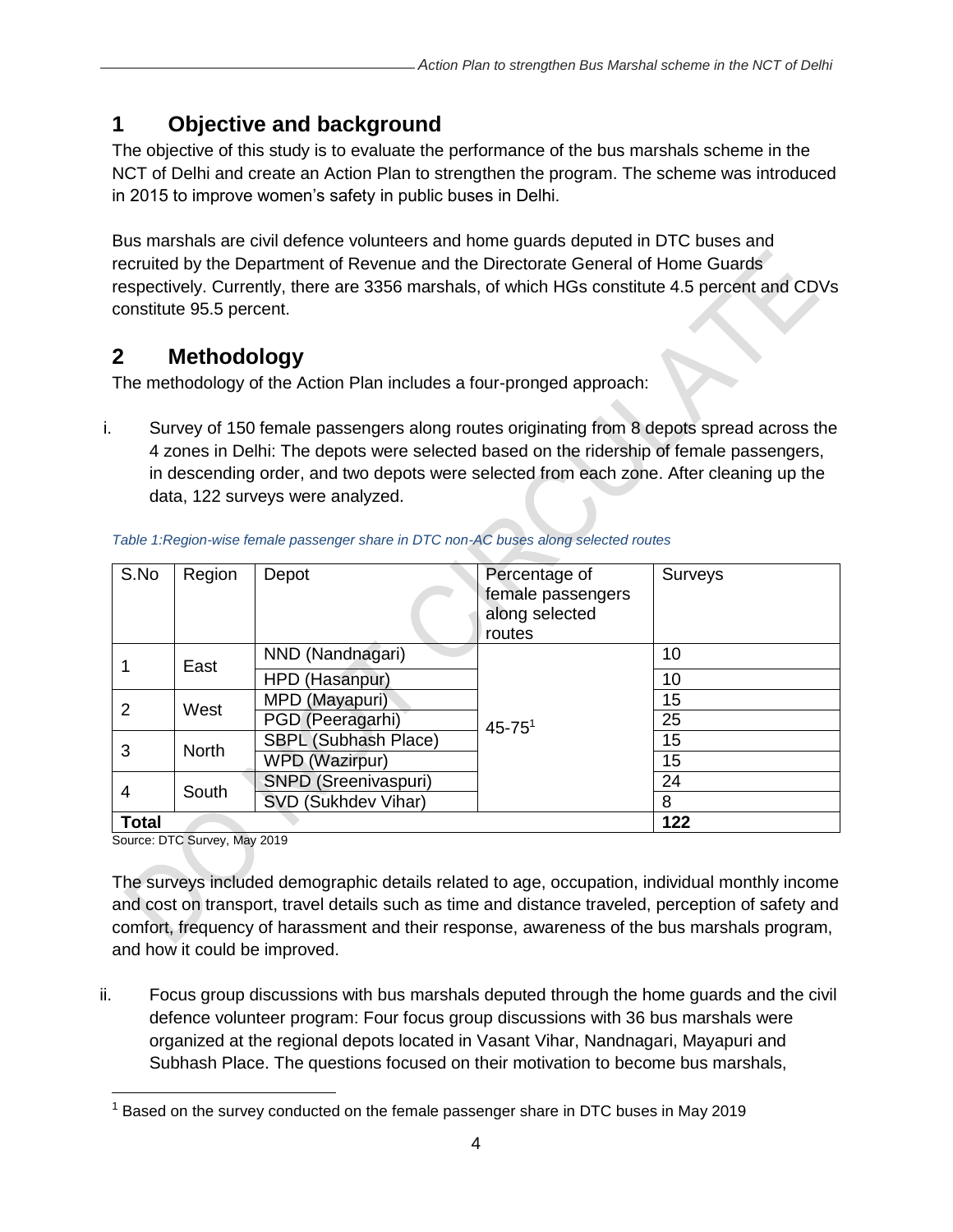# <span id="page-3-0"></span>**1 Objective and background**

The objective of this study is to evaluate the performance of the bus marshals scheme in the NCT of Delhi and create an Action Plan to strengthen the program. The scheme was introduced in 2015 to improve women's safety in public buses in Delhi.

Bus marshals are civil defence volunteers and home guards deputed in DTC buses and recruited by the Department of Revenue and the Directorate General of Home Guards respectively. Currently, there are 3356 marshals, of which HGs constitute 4.5 percent and CDVs constitute 95.5 percent.

# <span id="page-3-1"></span>**2 Methodology**

The methodology of the Action Plan includes a four-pronged approach:

i. Survey of 150 female passengers along routes originating from 8 depots spread across the 4 zones in Delhi: The depots were selected based on the ridership of female passengers, in descending order, and two depots were selected from each zone. After cleaning up the data, 122 surveys were analyzed.

| S.No         | Region       | Depot                 | Percentage of<br>female passengers<br>along selected<br>routes | Surveys |
|--------------|--------------|-----------------------|----------------------------------------------------------------|---------|
|              | East         | NND (Nandnagari)      |                                                                | 10      |
|              |              | HPD (Hasanpur)        |                                                                | 10      |
| 2            | West         | MPD (Mayapuri)        |                                                                | 15      |
|              |              | PGD (Peeragarhi)      | $45 - 75$ <sup>1</sup>                                         | 25      |
| 3            | <b>North</b> | SBPL (Subhash Place)  |                                                                | 15      |
|              |              | <b>WPD (Wazirpur)</b> |                                                                | 15      |
| 4            | South        | SNPD (Sreenivaspuri)  |                                                                | 24      |
|              |              | SVD (Sukhdev Vihar)   |                                                                | 8       |
| <b>Total</b> |              |                       |                                                                | 122     |

#### <span id="page-3-2"></span>*Table 1:Region-wise female passenger share in DTC non-AC buses along selected routes*

Source: DTC Survey, May 2019

The surveys included demographic details related to age, occupation, individual monthly income and cost on transport, travel details such as time and distance traveled, perception of safety and comfort, frequency of harassment and their response, awareness of the bus marshals program, and how it could be improved.

ii. Focus group discussions with bus marshals deputed through the home guards and the civil defence volunteer program: Four focus group discussions with 36 bus marshals were organized at the regional depots located in Vasant Vihar, Nandnagari, Mayapuri and Subhash Place. The questions focused on their motivation to become bus marshals,

 $1$  Based on the survey conducted on the female passenger share in DTC buses in May 2019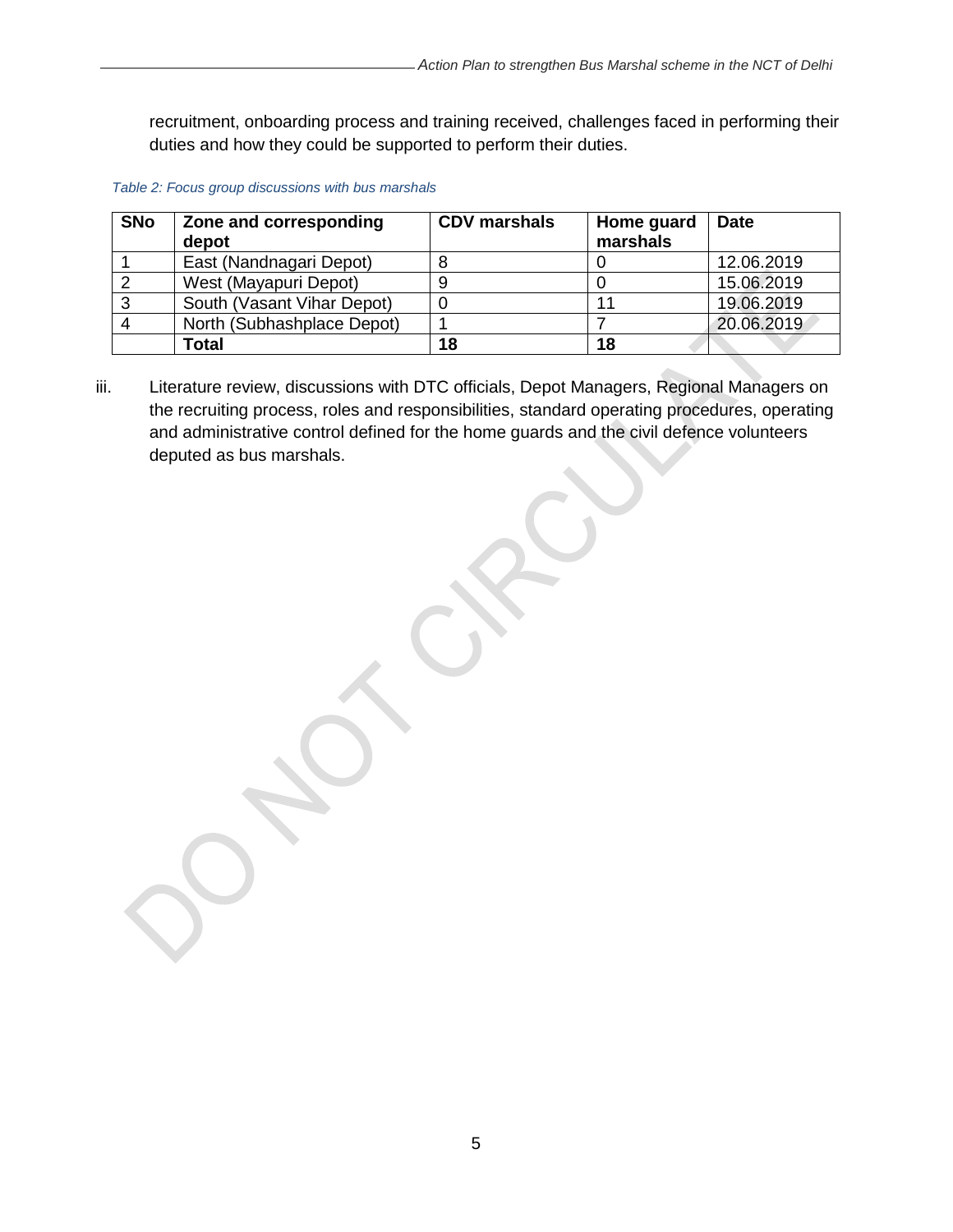recruitment, onboarding process and training received, challenges faced in performing their duties and how they could be supported to perform their duties.

<span id="page-4-0"></span>

|  |  | Table 2: Focus group discussions with bus marshals |
|--|--|----------------------------------------------------|
|--|--|----------------------------------------------------|

| <b>SNo</b> | Zone and corresponding<br>depot | <b>CDV</b> marshals | Home guard<br>marshals | <b>Date</b> |
|------------|---------------------------------|---------------------|------------------------|-------------|
|            | East (Nandnagari Depot)         |                     |                        | 12.06.2019  |
|            | West (Mayapuri Depot)           |                     |                        | 15.06.2019  |
| J          | South (Vasant Vihar Depot)      |                     |                        | 19.06.2019  |
|            | North (Subhashplace Depot)      |                     |                        | 20.06.2019  |
|            | Total                           | 18                  | 18                     |             |

iii. Literature review, discussions with DTC officials, Depot Managers, Regional Managers on the recruiting process, roles and responsibilities, standard operating procedures, operating and administrative control defined for the home guards and the civil defence volunteers deputed as bus marshals.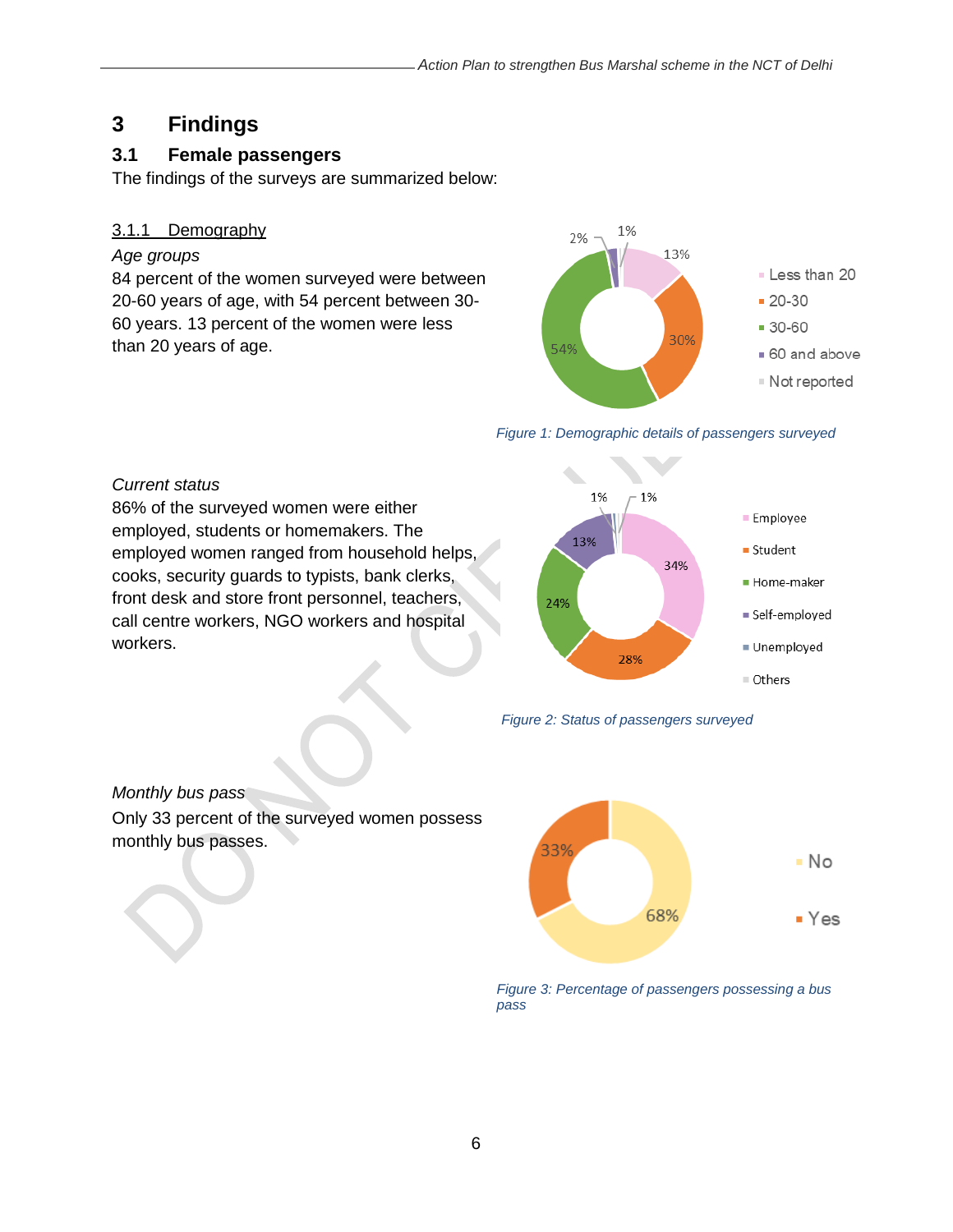# <span id="page-5-0"></span>**3 Findings**

# <span id="page-5-1"></span>**3.1 Female passengers**

The findings of the surveys are summarized below:

#### 3.1.1 Demography

#### *Age groups*

84 percent of the women surveyed were between 20-60 years of age, with 54 percent between 30- 60 years. 13 percent of the women were less than 20 years of age.



#### *Figure 1: Demographic details of passengers surveyed*

#### *Current status*

86% of the surveyed women were either employed, students or homemakers. The employed women ranged from household helps, cooks, security guards to typists, bank clerks, front desk and store front personnel, teachers, call centre workers, NGO workers and hospital workers.





# *Monthly bus pass*

Only 33 percent of the surveyed women possess monthly bus passes.



*Figure 3: Percentage of passengers possessing a bus pass*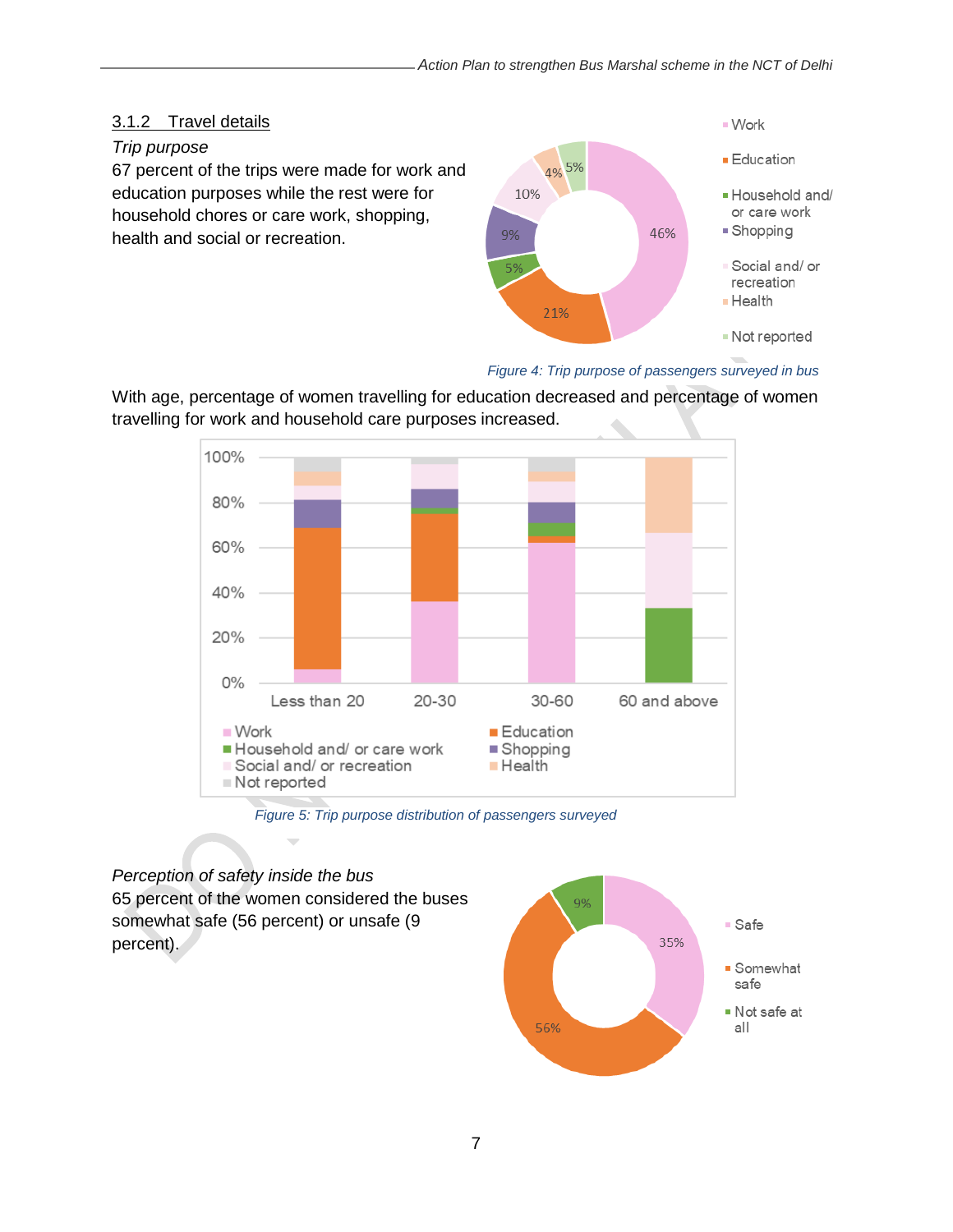### 3.1.2 Travel details

#### *Trip purpose*

67 percent of the trips were made for work and education purposes while the rest were for household chores or care work, shopping, health and social or recreation.



### *Figure 4: Trip purpose of passengers surveyed in bus*

With age, percentage of women travelling for education decreased and percentage of women travelling for work and household care purposes increased.



*Figure 5: Trip purpose distribution of passengers surveyed*

*Perception of safety inside the bus*  65 percent of the women considered the buses somewhat safe (56 percent) or unsafe (9 percent).

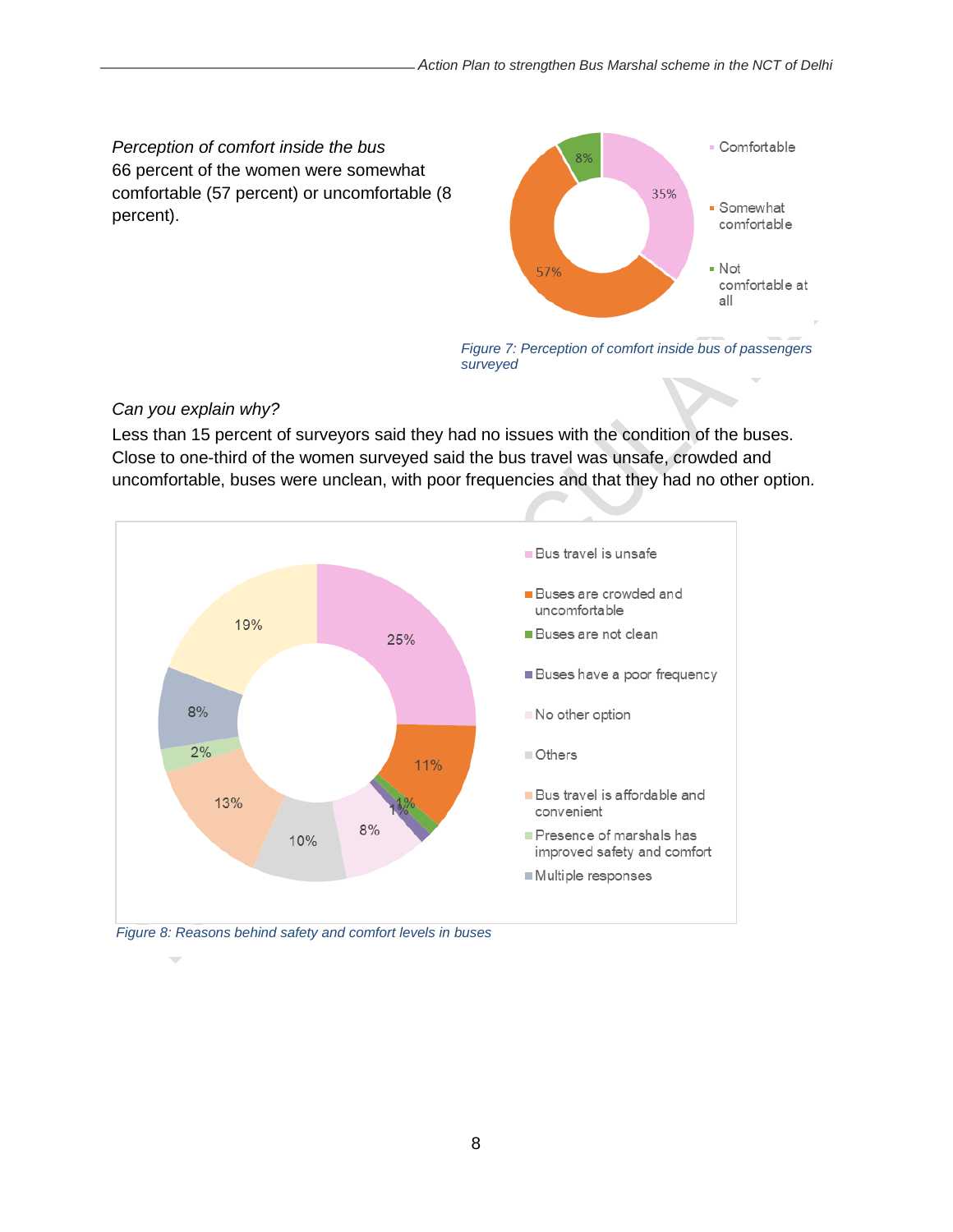*Perception of comfort inside the bus*  66 percent of the women were somewhat comfortable (57 percent) or uncomfortable (8 percent).



*Figure 7: Perception of comfort inside bus of passengers surveyed*

### *Can you explain why?*

Less than 15 percent of surveyors said they had no issues with the condition of the buses. Close to one-third of the women surveyed said the bus travel was unsafe, crowded and uncomfortable, buses were unclean, with poor frequencies and that they had no other option*.* 

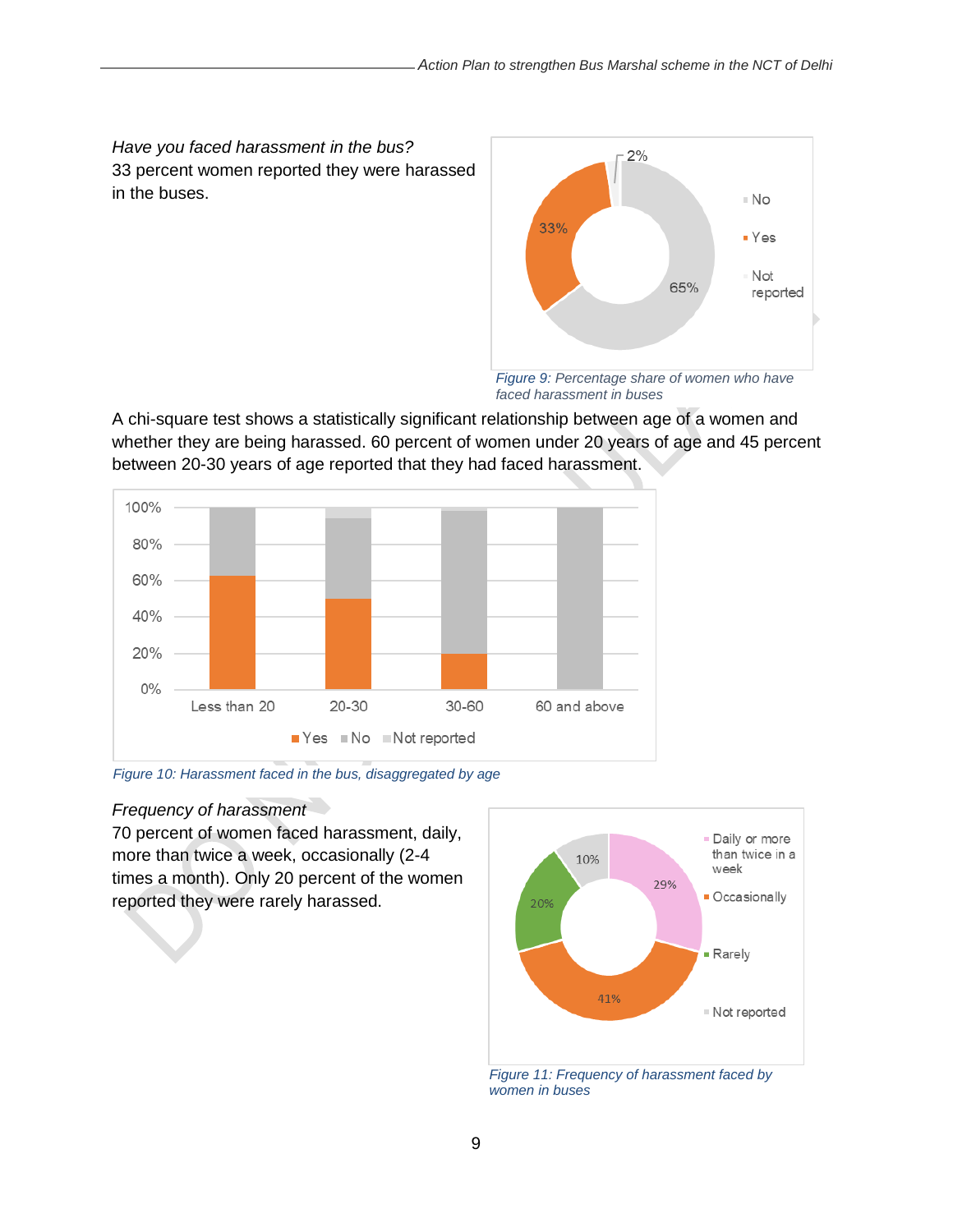*Have you faced harassment in the bus?*  33 percent women reported they were harassed in the buses.



*faced harassment in buses*

A chi-square test shows a statistically significant relationship between age of a women and whether they are being harassed. 60 percent of women under 20 years of age and 45 percent between 20-30 years of age reported that they had faced harassment.



*Figure 10: Harassment faced in the bus, disaggregated by age*

#### *Frequency of harassment*

70 percent of women faced harassment, daily, more than twice a week, occasionally (2-4 times a month). Only 20 percent of the women reported they were rarely harassed.



*Figure 11: Frequency of harassment faced by women in buses*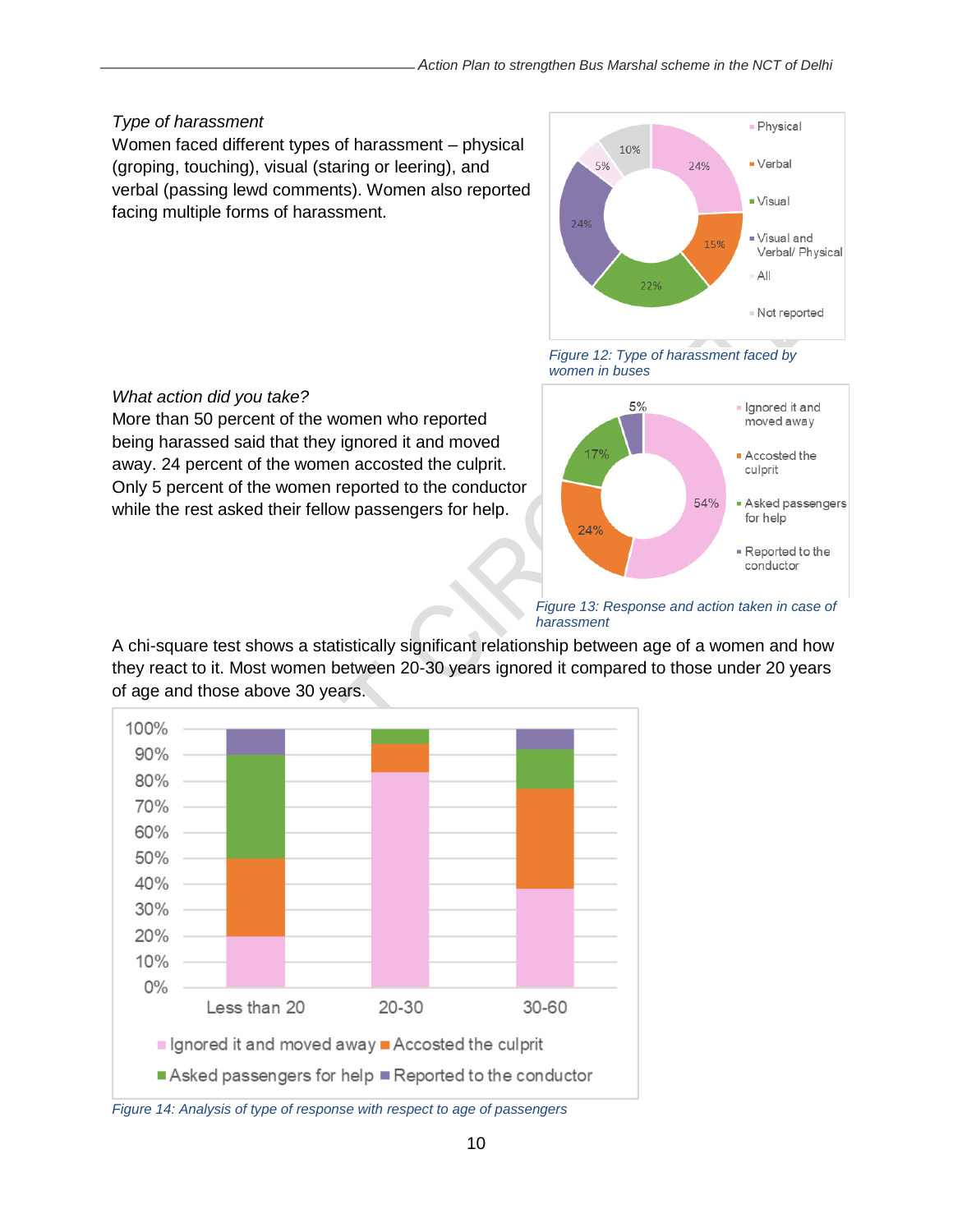#### *Type of harassment*

*What action did you take?* 

Women faced different types of harassment – physical (groping, touching), visual (staring or leering), and verbal (passing lewd comments). Women also reported facing multiple forms of harassment.

More than 50 percent of the women who reported being harassed said that they ignored it and moved away. 24 percent of the women accosted the culprit. Only 5 percent of the women reported to the conductor while the rest asked their fellow passengers for help.



*Figure 12: Type of harassment faced by women in buses*



*Figure 13: Response and action taken in case of harassment*

### A chi-square test shows a statistically significant relationship between age of a women and how they react to it. Most women between 20-30 years ignored it compared to those under 20 years of age and those above 30 years.



*Figure 14: Analysis of type of response with respect to age of passengers*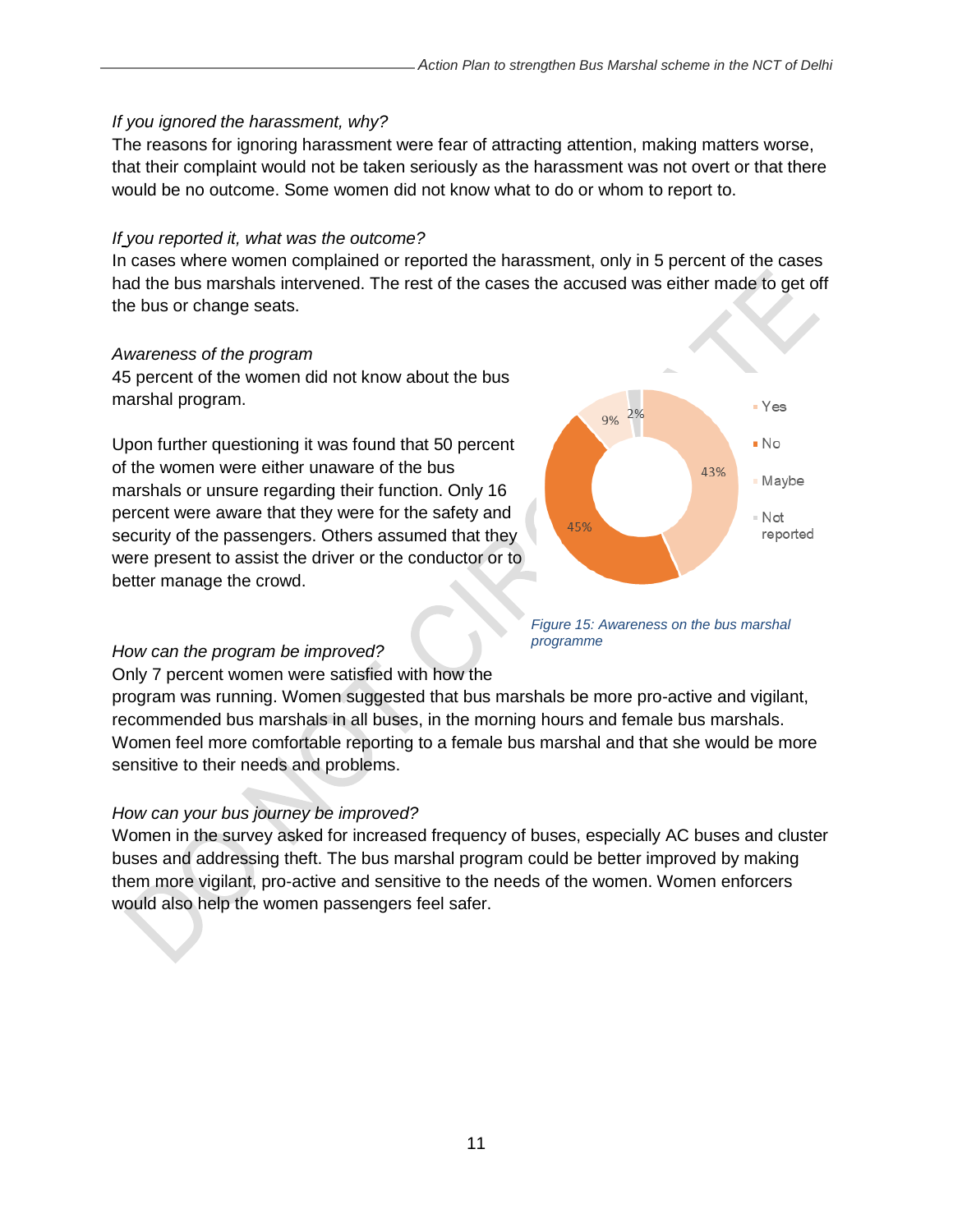#### *If you ignored the harassment, why?*

The reasons for ignoring harassment were fear of attracting attention, making matters worse, that their complaint would not be taken seriously as the harassment was not overt or that there would be no outcome. Some women did not know what to do or whom to report to.

#### *If you reported it, what was the outcome?*

In cases where women complained or reported the harassment, only in 5 percent of the cases had the bus marshals intervened. The rest of the cases the accused was either made to get off the bus or change seats.

#### *Awareness of the program*

45 percent of the women did not know about the bus marshal program.

Upon further questioning it was found that 50 percent of the women were either unaware of the bus marshals or unsure regarding their function. Only 16 percent were aware that they were for the safety and security of the passengers. Others assumed that they were present to assist the driver or the conductor or to better manage the crowd.



*Figure 15: Awareness on the bus marshal programme*

#### *How can the program be improved?*

Only 7 percent women were satisfied with how the program was running. Women suggested that bus marshals be more pro-active and vigilant,

recommended bus marshals in all buses, in the morning hours and female bus marshals. Women feel more comfortable reporting to a female bus marshal and that she would be more sensitive to their needs and problems.

### *How can your bus journey be improved?*

Women in the survey asked for increased frequency of buses, especially AC buses and cluster buses and addressing theft. The bus marshal program could be better improved by making them more vigilant, pro-active and sensitive to the needs of the women. Women enforcers would also help the women passengers feel safer.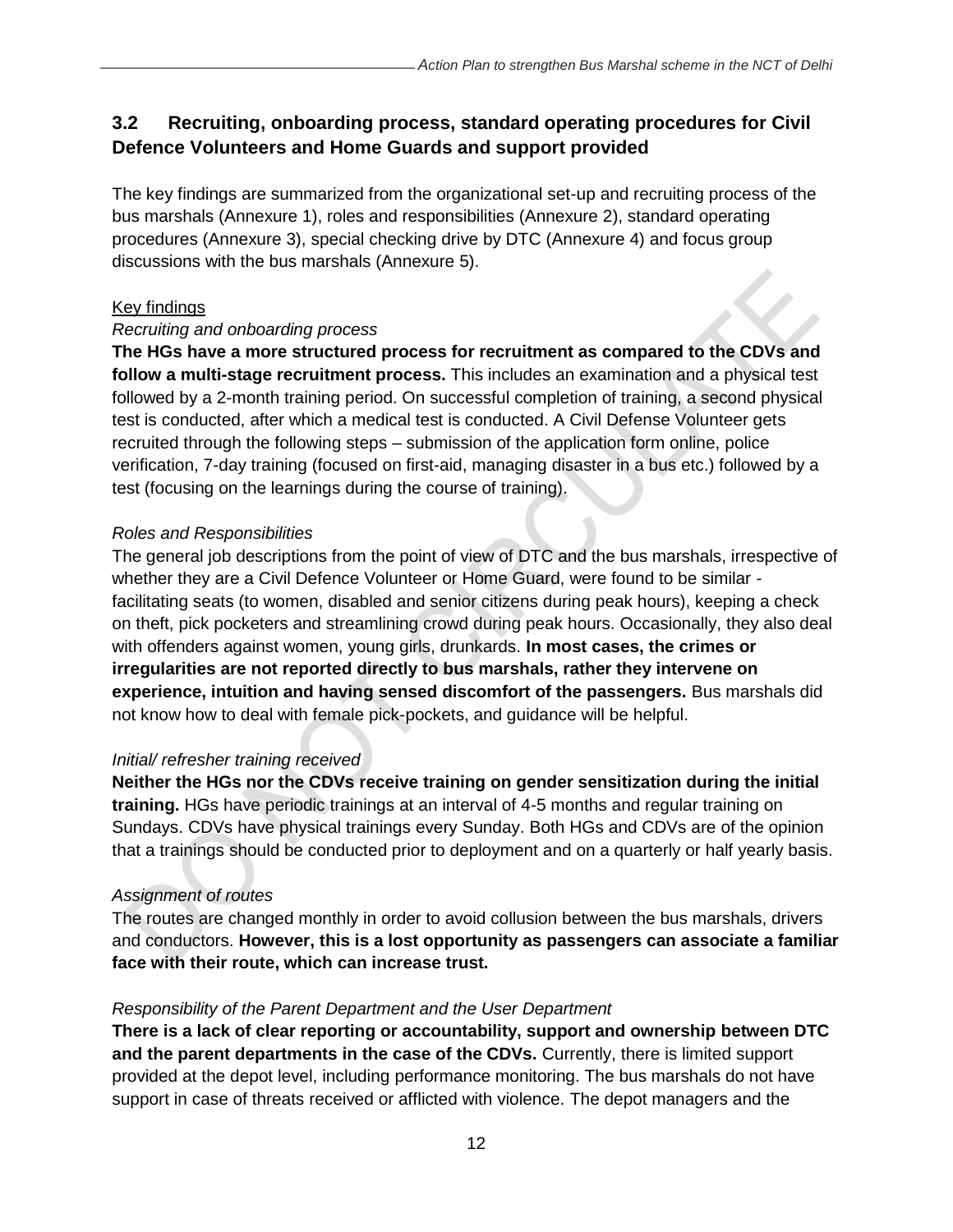# <span id="page-11-0"></span>**3.2 Recruiting, onboarding process, standard operating procedures for Civil Defence Volunteers and Home Guards and support provided**

The key findings are summarized from the organizational set-up and recruiting process of the bus marshals (Annexure 1), roles and responsibilities (Annexure 2), standard operating procedures (Annexure 3), special checking drive by DTC (Annexure 4) and focus group discussions with the bus marshals (Annexure 5).

### Key findings

#### *Recruiting and onboarding process*

**The HGs have a more structured process for recruitment as compared to the CDVs and follow a multi-stage recruitment process.** This includes an examination and a physical test followed by a 2-month training period. On successful completion of training, a second physical test is conducted, after which a medical test is conducted. A Civil Defense Volunteer gets recruited through the following steps – submission of the application form online, police verification, 7-day training (focused on first-aid, managing disaster in a bus etc.) followed by a test (focusing on the learnings during the course of training).

#### *Roles and Responsibilities*

The general job descriptions from the point of view of DTC and the bus marshals, irrespective of whether they are a Civil Defence Volunteer or Home Guard, were found to be similar facilitating seats (to women, disabled and senior citizens during peak hours), keeping a check on theft, pick pocketers and streamlining crowd during peak hours. Occasionally, they also deal with offenders against women, young girls, drunkards. **In most cases, the crimes or irregularities are not reported directly to bus marshals, rather they intervene on experience, intuition and having sensed discomfort of the passengers.** Bus marshals did not know how to deal with female pick-pockets, and guidance will be helpful.

#### *Initial/ refresher training received*

**Neither the HGs nor the CDVs receive training on gender sensitization during the initial training.** HGs have periodic trainings at an interval of 4-5 months and regular training on Sundays. CDVs have physical trainings every Sunday. Both HGs and CDVs are of the opinion that a trainings should be conducted prior to deployment and on a quarterly or half yearly basis.

### *Assignment of routes*

The routes are changed monthly in order to avoid collusion between the bus marshals, drivers and conductors. **However, this is a lost opportunity as passengers can associate a familiar face with their route, which can increase trust.**

### *Responsibility of the Parent Department and the User Department*

**There is a lack of clear reporting or accountability, support and ownership between DTC and the parent departments in the case of the CDVs.** Currently, there is limited support provided at the depot level, including performance monitoring. The bus marshals do not have support in case of threats received or afflicted with violence. The depot managers and the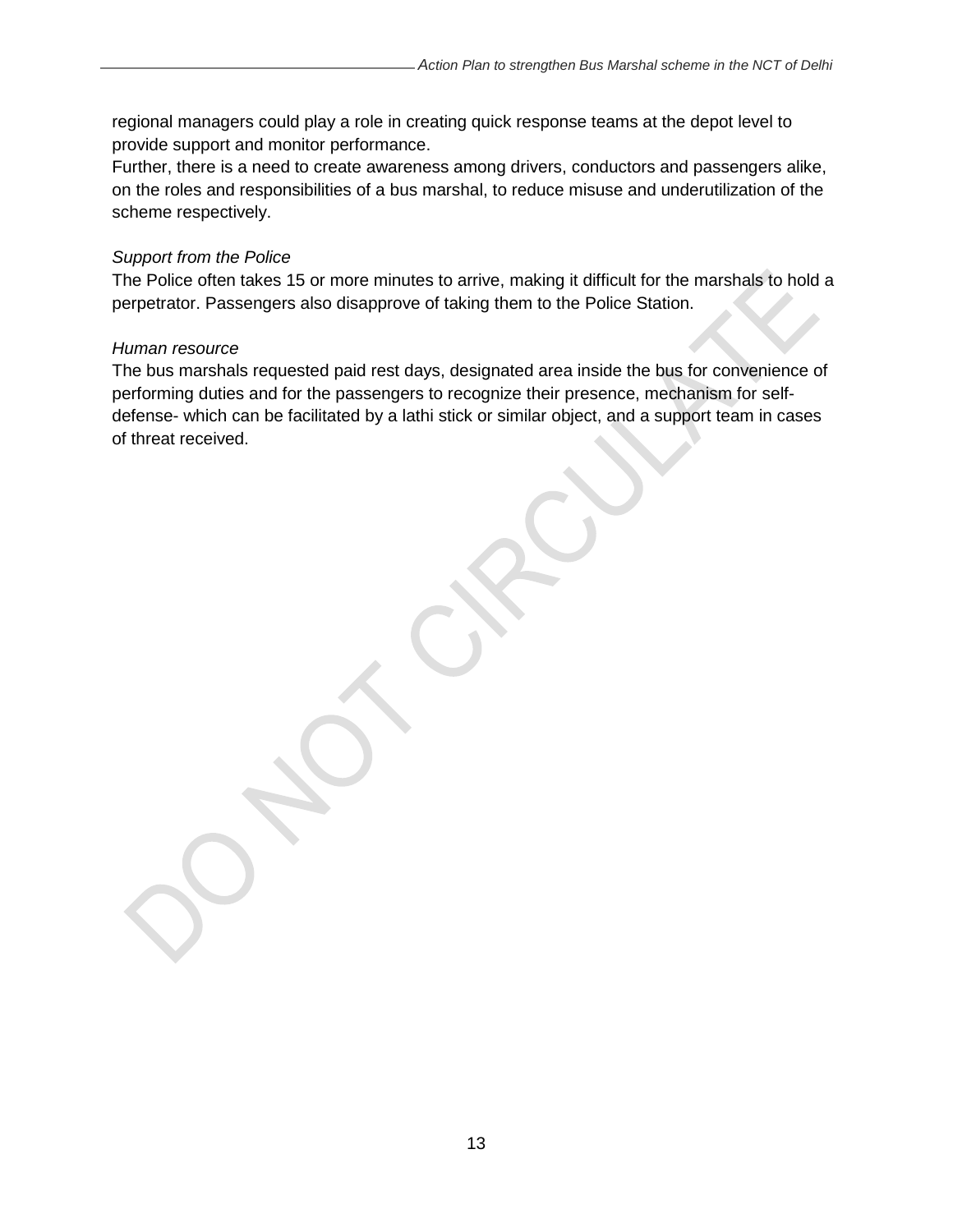regional managers could play a role in creating quick response teams at the depot level to provide support and monitor performance.

Further, there is a need to create awareness among drivers, conductors and passengers alike, on the roles and responsibilities of a bus marshal, to reduce misuse and underutilization of the scheme respectively.

#### *Support from the Police*

The Police often takes 15 or more minutes to arrive, making it difficult for the marshals to hold a perpetrator. Passengers also disapprove of taking them to the Police Station.

#### *Human resource*

The bus marshals requested paid rest days, designated area inside the bus for convenience of performing duties and for the passengers to recognize their presence, mechanism for selfdefense- which can be facilitated by a lathi stick or similar object, and a support team in cases of threat received.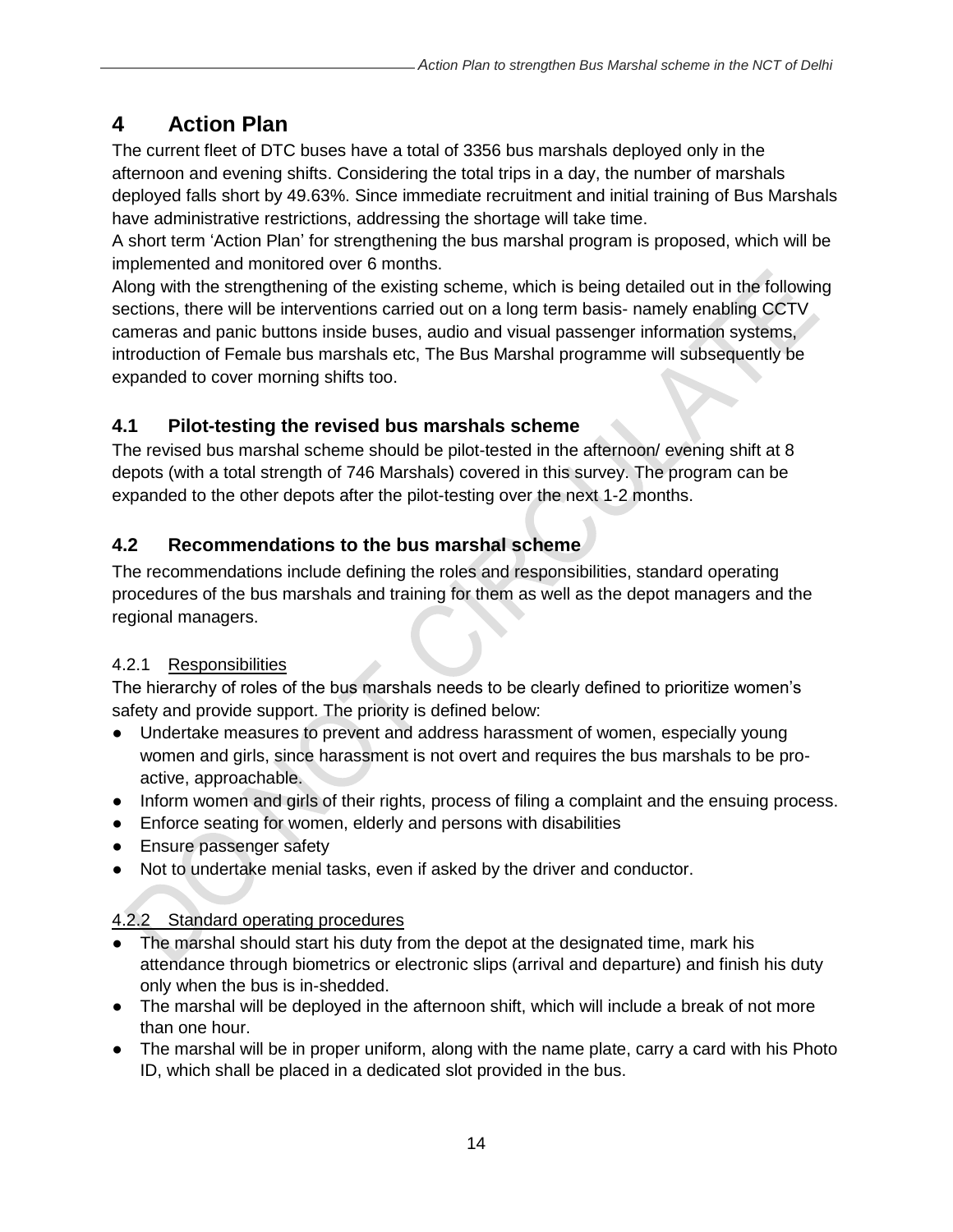# <span id="page-13-0"></span>**4 Action Plan**

The current fleet of DTC buses have a total of 3356 bus marshals deployed only in the afternoon and evening shifts. Considering the total trips in a day, the number of marshals deployed falls short by 49.63%. Since immediate recruitment and initial training of Bus Marshals have administrative restrictions, addressing the shortage will take time.

A short term 'Action Plan' for strengthening the bus marshal program is proposed, which will be implemented and monitored over 6 months.

Along with the strengthening of the existing scheme, which is being detailed out in the following sections, there will be interventions carried out on a long term basis- namely enabling CCTV cameras and panic buttons inside buses, audio and visual passenger information systems, introduction of Female bus marshals etc, The Bus Marshal programme will subsequently be expanded to cover morning shifts too.

# <span id="page-13-1"></span>**4.1 Pilot-testing the revised bus marshals scheme**

The revised bus marshal scheme should be pilot-tested in the afternoon/ evening shift at 8 depots (with a total strength of 746 Marshals) covered in this survey. The program can be expanded to the other depots after the pilot-testing over the next 1-2 months.

# <span id="page-13-2"></span>**4.2 Recommendations to the bus marshal scheme**

The recommendations include defining the roles and responsibilities, standard operating procedures of the bus marshals and training for them as well as the depot managers and the regional managers.

# 4.2.1 Responsibilities

The hierarchy of roles of the bus marshals needs to be clearly defined to prioritize women's safety and provide support. The priority is defined below:

- Undertake measures to prevent and address harassment of women, especially young women and girls, since harassment is not overt and requires the bus marshals to be proactive, approachable.
- Inform women and girls of their rights, process of filing a complaint and the ensuing process.
- Enforce seating for women, elderly and persons with disabilities
- Ensure passenger safety
- Not to undertake menial tasks, even if asked by the driver and conductor.

# 4.2.2 Standard operating procedures

- The marshal should start his duty from the depot at the designated time, mark his attendance through biometrics or electronic slips (arrival and departure) and finish his duty only when the bus is in-shedded.
- The marshal will be deployed in the afternoon shift, which will include a break of not more than one hour.
- The marshal will be in proper uniform, along with the name plate, carry a card with his Photo ID, which shall be placed in a dedicated slot provided in the bus.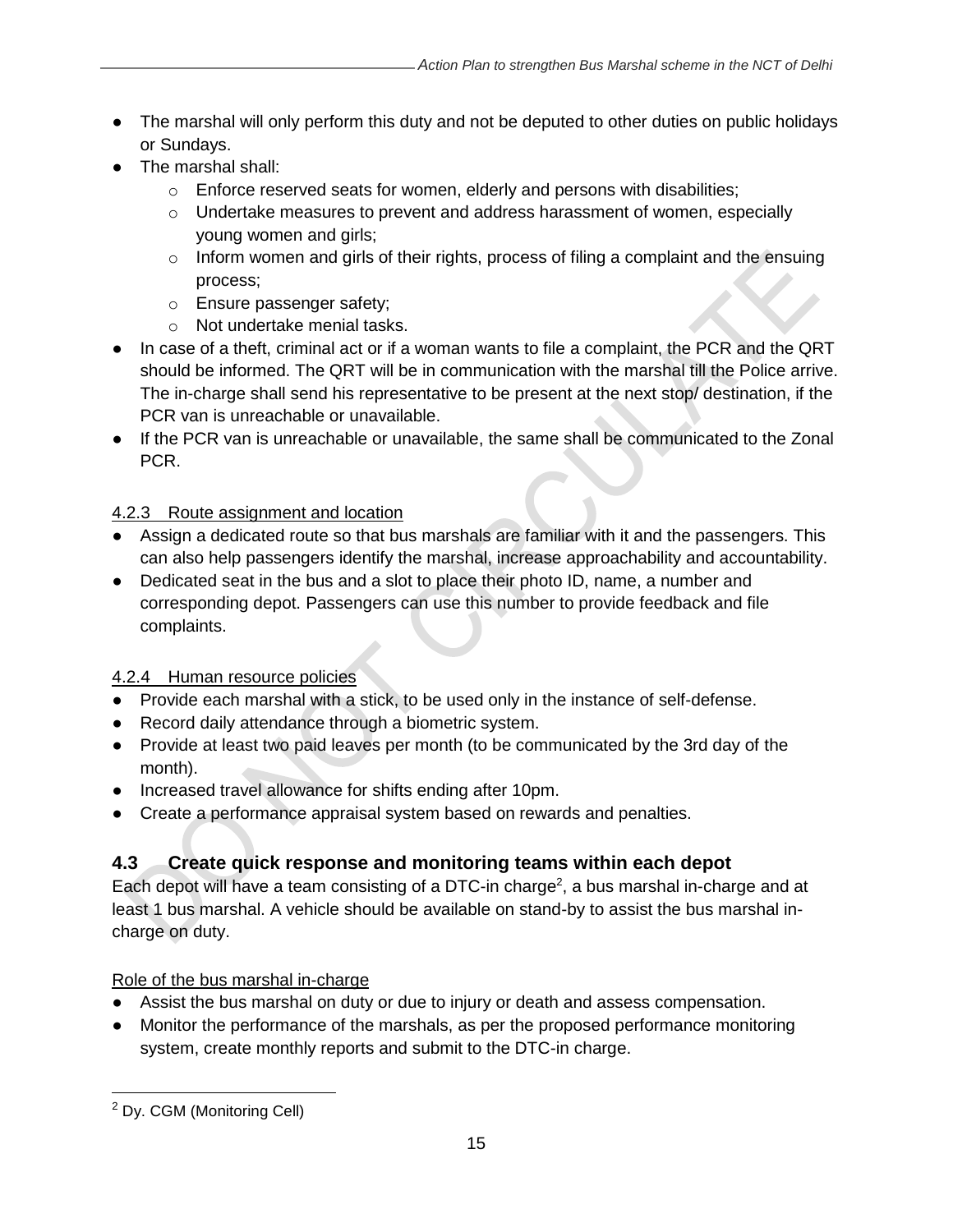- The marshal will only perform this duty and not be deputed to other duties on public holidays or Sundays.
- The marshal shall:
	- o Enforce reserved seats for women, elderly and persons with disabilities;
	- $\circ$  Undertake measures to prevent and address harassment of women, especially young women and girls;
	- $\circ$  Inform women and girls of their rights, process of filing a complaint and the ensuing process;
	- o Ensure passenger safety;
	- o Not undertake menial tasks.
- In case of a theft, criminal act or if a woman wants to file a complaint, the PCR and the QRT should be informed. The QRT will be in communication with the marshal till the Police arrive. The in-charge shall send his representative to be present at the next stop/ destination, if the PCR van is unreachable or unavailable.
- If the PCR van is unreachable or unavailable, the same shall be communicated to the Zonal PCR.

### 4.2.3 Route assignment and location

- Assign a dedicated route so that bus marshals are familiar with it and the passengers. This can also help passengers identify the marshal, increase approachability and accountability.
- Dedicated seat in the bus and a slot to place their photo ID, name, a number and corresponding depot. Passengers can use this number to provide feedback and file complaints.

### 4.2.4 Human resource policies

- Provide each marshal with a stick, to be used only in the instance of self-defense.
- Record daily attendance through a biometric system.
- Provide at least two paid leaves per month (to be communicated by the 3rd day of the month).
- Increased travel allowance for shifts ending after 10pm.
- Create a performance appraisal system based on rewards and penalties.

# <span id="page-14-0"></span>**4.3 Create quick response and monitoring teams within each depot**

Each depot will have a team consisting of a DTC-in charge<sup>2</sup>, a bus marshal in-charge and at least 1 bus marshal. A vehicle should be available on stand-by to assist the bus marshal incharge on duty.

### Role of the bus marshal in-charge

- Assist the bus marshal on duty or due to injury or death and assess compensation.
- Monitor the performance of the marshals, as per the proposed performance monitoring system, create monthly reports and submit to the DTC-in charge.

<sup>2</sup> Dy. CGM (Monitoring Cell)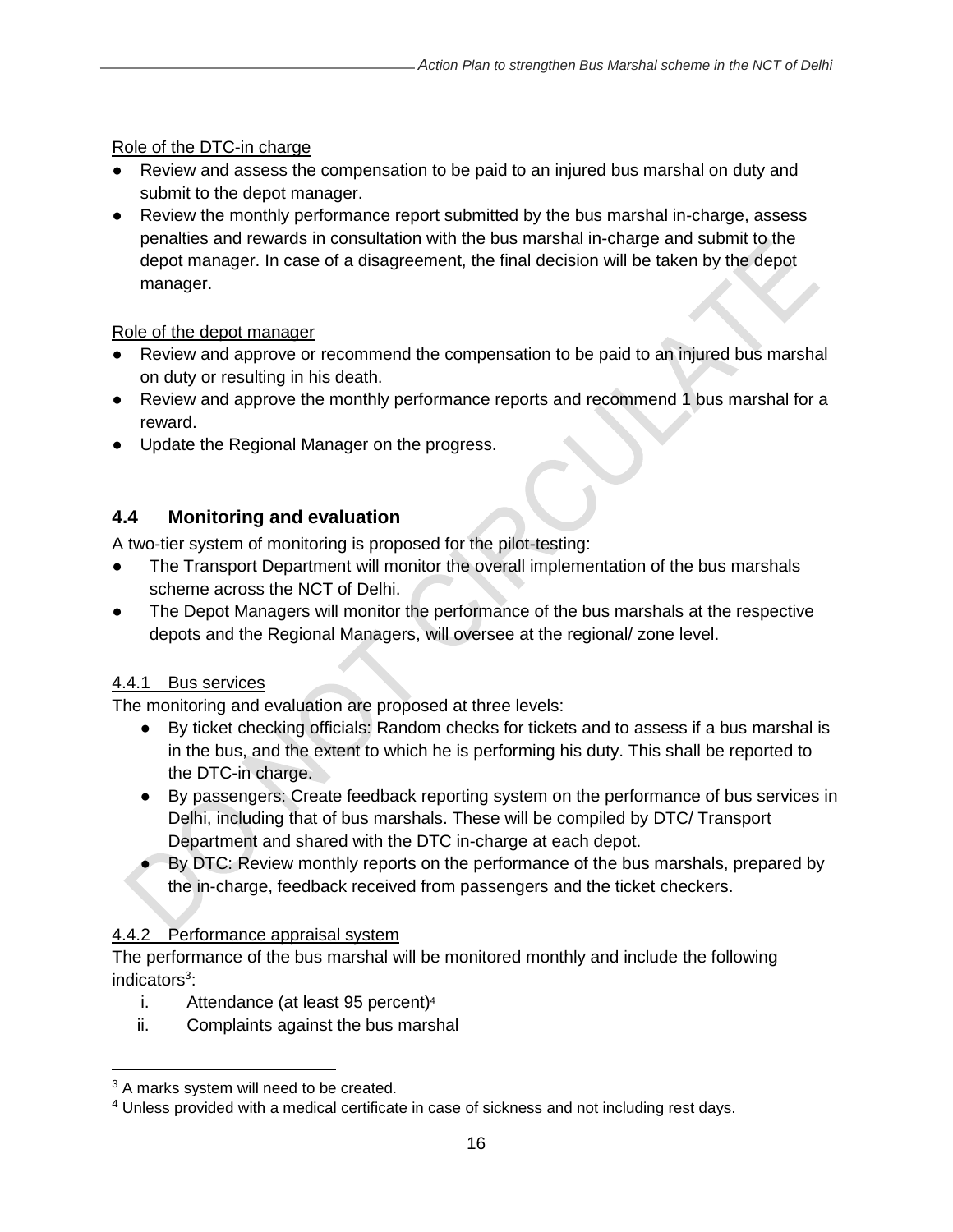#### Role of the DTC-in charge

- Review and assess the compensation to be paid to an injured bus marshal on duty and submit to the depot manager.
- Review the monthly performance report submitted by the bus marshal in-charge, assess penalties and rewards in consultation with the bus marshal in-charge and submit to the depot manager. In case of a disagreement, the final decision will be taken by the depot manager.

#### Role of the depot manager

- Review and approve or recommend the compensation to be paid to an injured bus marshal on duty or resulting in his death.
- Review and approve the monthly performance reports and recommend 1 bus marshal for a reward.
- Update the Regional Manager on the progress.

# <span id="page-15-0"></span>**4.4 Monitoring and evaluation**

A two-tier system of monitoring is proposed for the pilot-testing:

- The Transport Department will monitor the overall implementation of the bus marshals scheme across the NCT of Delhi.
- The Depot Managers will monitor the performance of the bus marshals at the respective depots and the Regional Managers, will oversee at the regional/ zone level.

### 4.4.1 Bus services

The monitoring and evaluation are proposed at three levels:

- By ticket checking officials: Random checks for tickets and to assess if a bus marshal is in the bus, and the extent to which he is performing his duty. This shall be reported to the DTC-in charge.
- By passengers: Create feedback reporting system on the performance of bus services in Delhi, including that of bus marshals. These will be compiled by DTC/ Transport Department and shared with the DTC in-charge at each depot.
- By DTC: Review monthly reports on the performance of the bus marshals, prepared by the in-charge, feedback received from passengers and the ticket checkers.

### 4.4.2 Performance appraisal system

The performance of the bus marshal will be monitored monthly and include the following indicators<sup>3</sup>:

- i. Attendance (at least 95 percent) $4$
- ii. Complaints against the bus marshal

 $3$  A marks system will need to be created.

<sup>&</sup>lt;sup>4</sup> Unless provided with a medical certificate in case of sickness and not including rest days.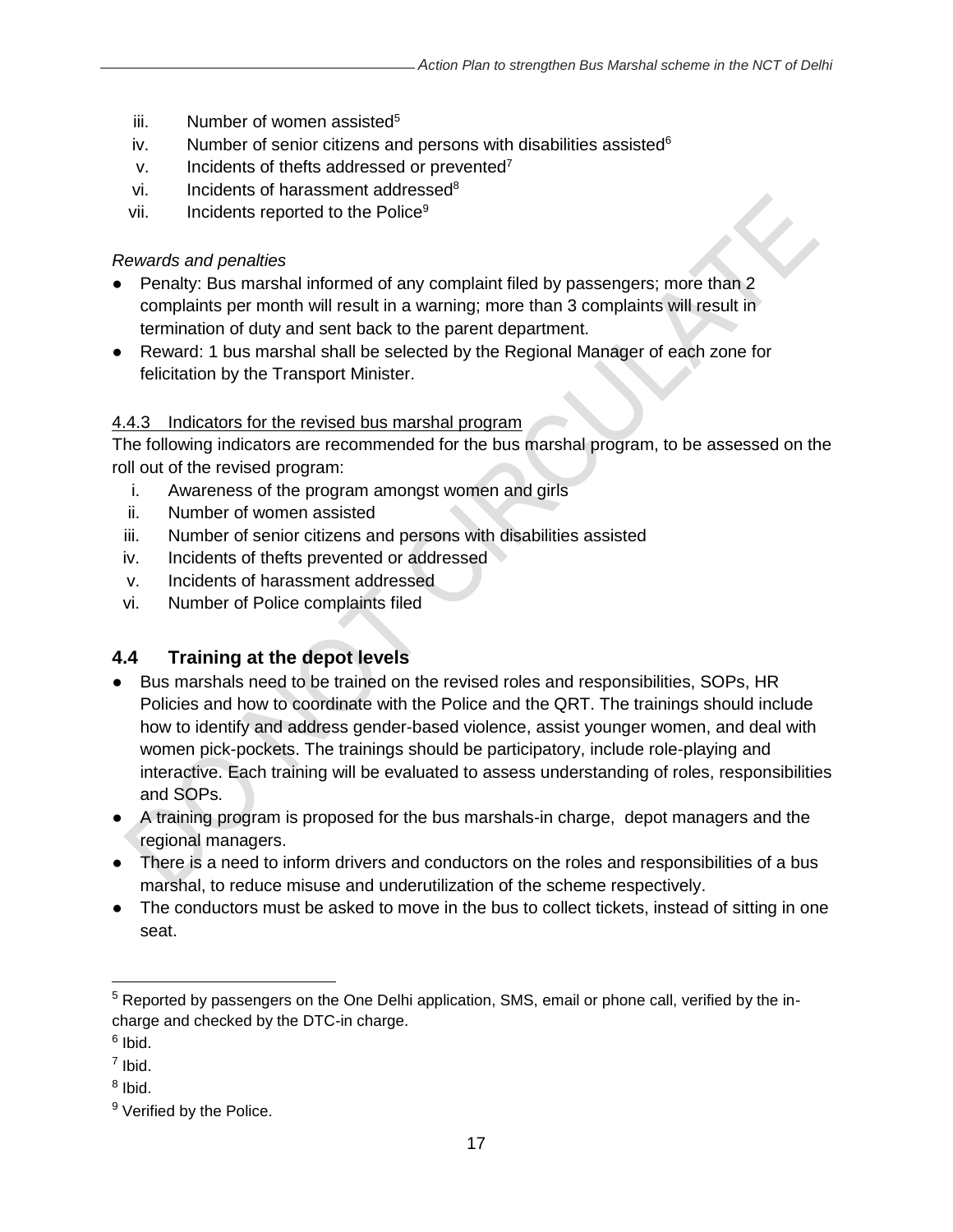- $iii.$  Number of women assisted<sup>5</sup>
- iv. Number of senior citizens and persons with disabilities assisted $6$
- $v.$  Incidents of thefts addressed or prevented<sup>7</sup>
- vi. Incidents of harassment addressed<sup>8</sup>
- vii. Incidents reported to the Police<sup>9</sup>

#### *Rewards and penalties*

- Penalty: Bus marshal informed of any complaint filed by passengers; more than 2 complaints per month will result in a warning; more than 3 complaints will result in termination of duty and sent back to the parent department.
- Reward: 1 bus marshal shall be selected by the Regional Manager of each zone for felicitation by the Transport Minister.

### 4.4.3 Indicators for the revised bus marshal program

The following indicators are recommended for the bus marshal program, to be assessed on the roll out of the revised program:

- i. Awareness of the program amongst women and girls
- ii. Number of women assisted
- iii. Number of senior citizens and persons with disabilities assisted
- iv. Incidents of thefts prevented or addressed
- v. Incidents of harassment addressed
- vi. Number of Police complaints filed

# <span id="page-16-0"></span>**4.4 Training at the depot levels**

- Bus marshals need to be trained on the revised roles and responsibilities, SOPs, HR Policies and how to coordinate with the Police and the QRT. The trainings should include how to identify and address gender-based violence, assist younger women, and deal with women pick-pockets. The trainings should be participatory, include role-playing and interactive. Each training will be evaluated to assess understanding of roles, responsibilities and SOPs.
- A training program is proposed for the bus marshals-in charge, depot managers and the regional managers.
- There is a need to inform drivers and conductors on the roles and responsibilities of a bus marshal, to reduce misuse and underutilization of the scheme respectively.
- The conductors must be asked to move in the bus to collect tickets, instead of sitting in one seat.

 $\overline{a}$ 

<sup>5</sup> Reported by passengers on the One Delhi application, SMS, email or phone call, verified by the incharge and checked by the DTC-in charge.

<sup>&</sup>lt;sup>6</sup> Ibid.

<sup>7</sup> Ibid.

<sup>&</sup>lt;sup>8</sup> Ibid.

<sup>&</sup>lt;sup>9</sup> Verified by the Police.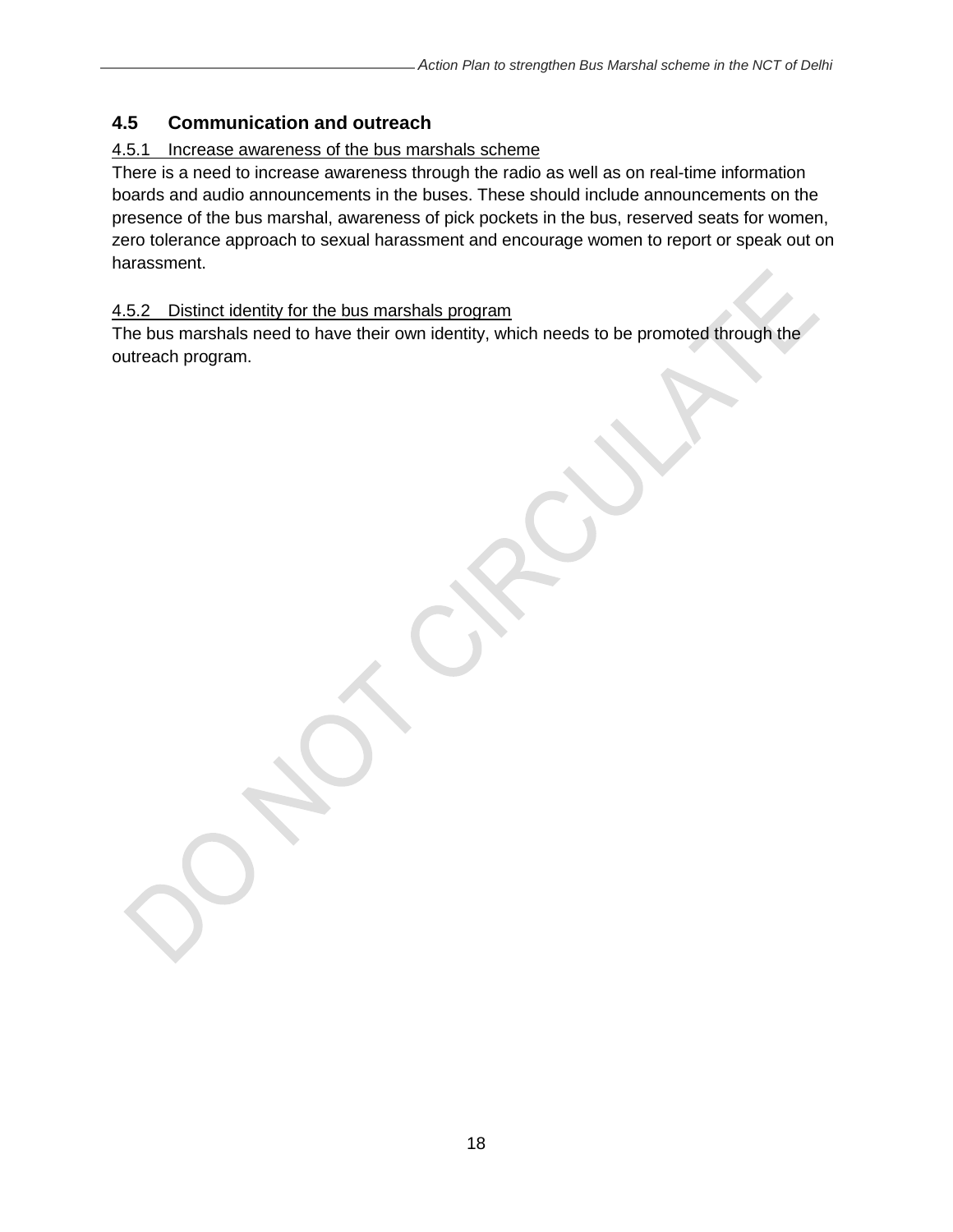# <span id="page-17-0"></span>**4.5 Communication and outreach**

# 4.5.1 Increase awareness of the bus marshals scheme

There is a need to increase awareness through the radio as well as on real-time information boards and audio announcements in the buses. These should include announcements on the presence of the bus marshal, awareness of pick pockets in the bus, reserved seats for women, zero tolerance approach to sexual harassment and encourage women to report or speak out on harassment.

### 4.5.2 Distinct identity for the bus marshals program

The bus marshals need to have their own identity, which needs to be promoted through the outreach program.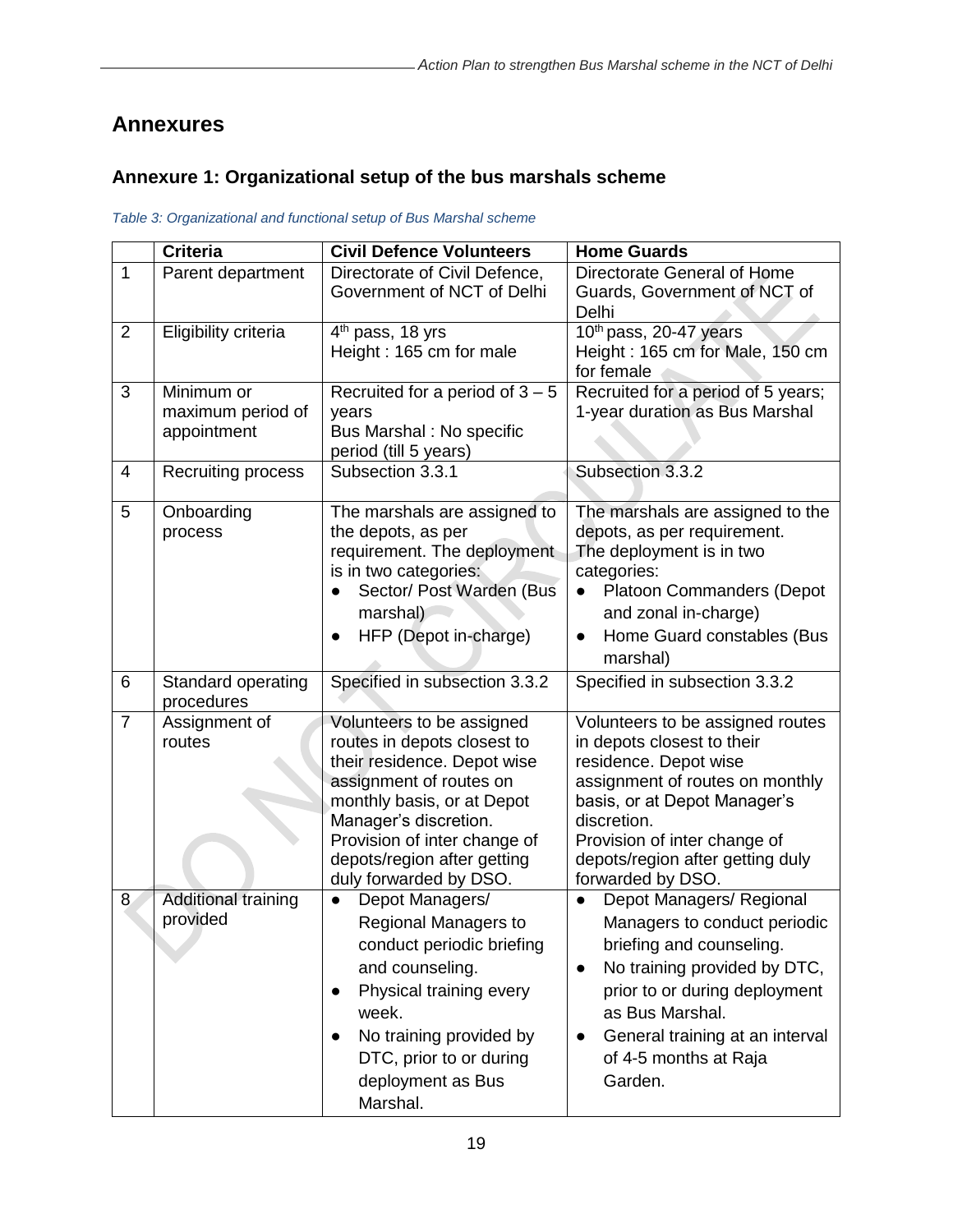# <span id="page-18-0"></span>**Annexures**

# <span id="page-18-1"></span>**Annexure 1: Organizational setup of the bus marshals scheme**

<span id="page-18-2"></span>*Table 3: Organizational and functional setup of Bus Marshal scheme*

|                | Criteria                                       | <b>Civil Defence Volunteers</b>                                                                                                                                                                                                                                    | <b>Home Guards</b>                                                                                                                                                                                                                                                        |
|----------------|------------------------------------------------|--------------------------------------------------------------------------------------------------------------------------------------------------------------------------------------------------------------------------------------------------------------------|---------------------------------------------------------------------------------------------------------------------------------------------------------------------------------------------------------------------------------------------------------------------------|
| $\mathbf{1}$   | Parent department                              | Directorate of Civil Defence,<br>Government of NCT of Delhi                                                                                                                                                                                                        | Directorate General of Home<br>Guards, Government of NCT of<br>Delhi                                                                                                                                                                                                      |
| $\overline{2}$ | Eligibility criteria                           | 4 <sup>th</sup> pass, 18 yrs<br>Height: 165 cm for male                                                                                                                                                                                                            | 10 <sup>th</sup> pass, 20-47 years<br>Height: 165 cm for Male, 150 cm<br>for female                                                                                                                                                                                       |
| 3              | Minimum or<br>maximum period of<br>appointment | Recruited for a period of $3 - 5$<br>years<br>Bus Marshal : No specific<br>period (till 5 years)                                                                                                                                                                   | Recruited for a period of 5 years;<br>1-year duration as Bus Marshal                                                                                                                                                                                                      |
| 4              | Recruiting process                             | Subsection 3.3.1                                                                                                                                                                                                                                                   | Subsection 3.3.2                                                                                                                                                                                                                                                          |
| 5              | Onboarding<br>process                          | The marshals are assigned to<br>the depots, as per<br>requirement. The deployment<br>is in two categories:<br>Sector/ Post Warden (Bus<br>marshal)<br>HFP (Depot in-charge)                                                                                        | The marshals are assigned to the<br>depots, as per requirement.<br>The deployment is in two<br>categories:<br>Platoon Commanders (Depot<br>$\bullet$<br>and zonal in-charge)<br>Home Guard constables (Bus<br>$\bullet$<br>marshal)                                       |
| 6              | Standard operating<br>procedures               | Specified in subsection 3.3.2                                                                                                                                                                                                                                      | Specified in subsection 3.3.2                                                                                                                                                                                                                                             |
| $\overline{7}$ | Assignment of<br>routes                        | Volunteers to be assigned<br>routes in depots closest to<br>their residence. Depot wise<br>assignment of routes on<br>monthly basis, or at Depot<br>Manager's discretion.<br>Provision of inter change of<br>depots/region after getting<br>duly forwarded by DSO. | Volunteers to be assigned routes<br>in depots closest to their<br>residence. Depot wise<br>assignment of routes on monthly<br>basis, or at Depot Manager's<br>discretion.<br>Provision of inter change of<br>depots/region after getting duly<br>forwarded by DSO.        |
| 8              | <b>Additional training</b><br>provided         | Depot Managers/<br><b>Regional Managers to</b><br>conduct periodic briefing<br>and counseling.<br>Physical training every<br>week.<br>No training provided by<br>DTC, prior to or during<br>deployment as Bus<br>Marshal.                                          | Depot Managers/ Regional<br>Managers to conduct periodic<br>briefing and counseling.<br>No training provided by DTC,<br>$\bullet$<br>prior to or during deployment<br>as Bus Marshal.<br>General training at an interval<br>$\bullet$<br>of 4-5 months at Raja<br>Garden. |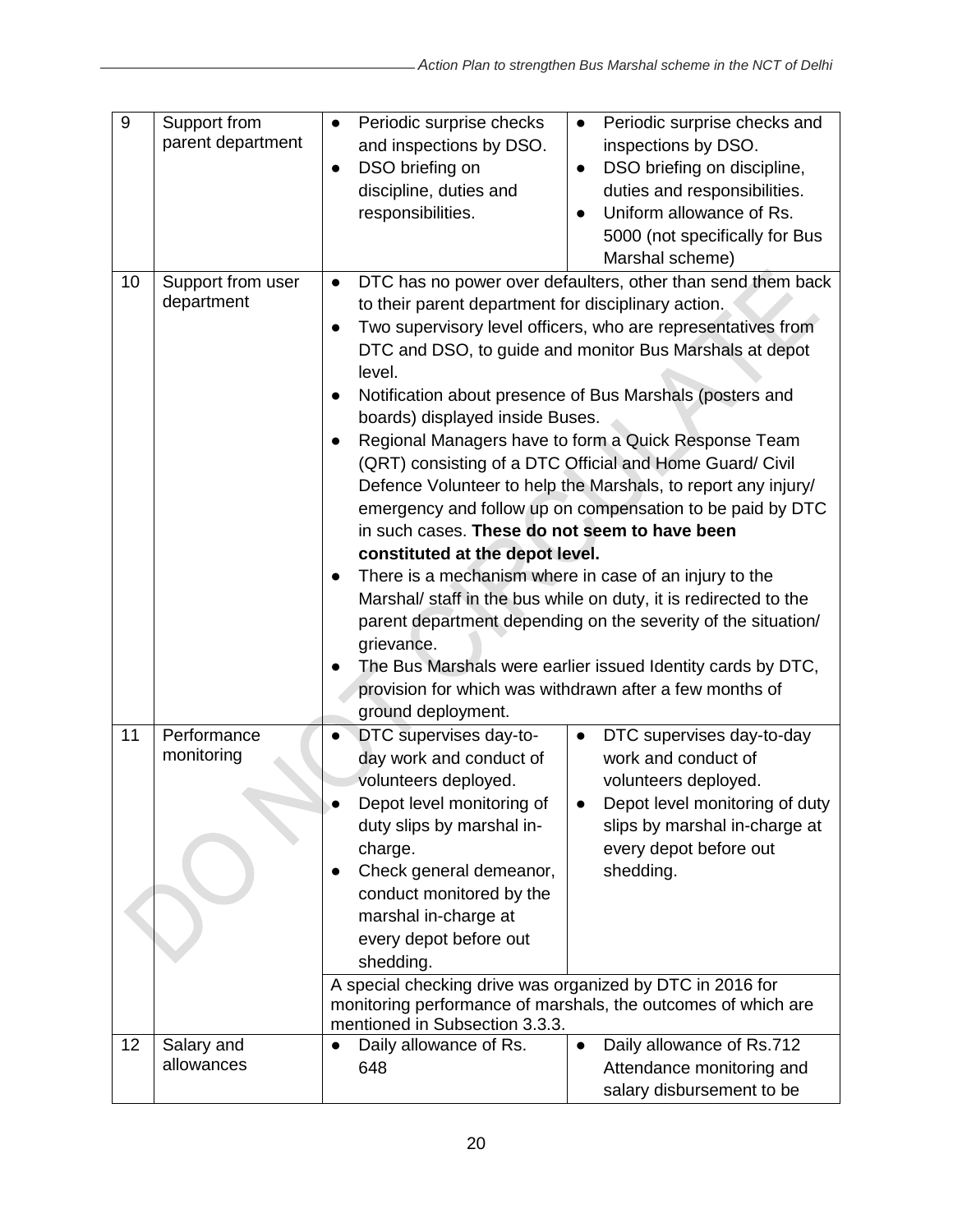| 9  | Support from<br>parent department | Periodic surprise checks<br>$\bullet$<br>and inspections by DSO.<br>DSO briefing on<br>$\bullet$<br>discipline, duties and<br>responsibilities.                                                                                                                                                                                                                                                                                                                                                                                                                                                                                                                                                                                                                                                                                                                                                                                                                                                                                                                            | Periodic surprise checks and<br>$\bullet$<br>inspections by DSO.<br>DSO briefing on discipline,<br>$\bullet$<br>duties and responsibilities.<br>Uniform allowance of Rs.<br>$\bullet$<br>5000 (not specifically for Bus<br>Marshal scheme) |
|----|-----------------------------------|----------------------------------------------------------------------------------------------------------------------------------------------------------------------------------------------------------------------------------------------------------------------------------------------------------------------------------------------------------------------------------------------------------------------------------------------------------------------------------------------------------------------------------------------------------------------------------------------------------------------------------------------------------------------------------------------------------------------------------------------------------------------------------------------------------------------------------------------------------------------------------------------------------------------------------------------------------------------------------------------------------------------------------------------------------------------------|--------------------------------------------------------------------------------------------------------------------------------------------------------------------------------------------------------------------------------------------|
| 10 | Support from user<br>department   | DTC has no power over defaulters, other than send them back<br>$\bullet$<br>to their parent department for disciplinary action.<br>Two supervisory level officers, who are representatives from<br>$\bullet$<br>DTC and DSO, to guide and monitor Bus Marshals at depot<br>level.<br>Notification about presence of Bus Marshals (posters and<br>$\bullet$<br>boards) displayed inside Buses.<br>Regional Managers have to form a Quick Response Team<br>(QRT) consisting of a DTC Official and Home Guard/ Civil<br>Defence Volunteer to help the Marshals, to report any injury/<br>emergency and follow up on compensation to be paid by DTC<br>in such cases. These do not seem to have been<br>constituted at the depot level.<br>There is a mechanism where in case of an injury to the<br>Marshal/ staff in the bus while on duty, it is redirected to the<br>parent department depending on the severity of the situation/<br>grievance.<br>The Bus Marshals were earlier issued Identity cards by DTC,<br>provision for which was withdrawn after a few months of |                                                                                                                                                                                                                                            |
| 11 | Performance<br>monitoring         | ground deployment.<br>DTC supervises day-to-<br>day work and conduct of<br>volunteers deployed.<br>Depot level monitoring of<br>duty slips by marshal in-<br>charge.<br>Check general demeanor,<br>conduct monitored by the<br>marshal in-charge at<br>every depot before out<br>shedding.<br>A special checking drive was organized by DTC in 2016 for                                                                                                                                                                                                                                                                                                                                                                                                                                                                                                                                                                                                                                                                                                                    | DTC supervises day-to-day<br>$\bullet$<br>work and conduct of<br>volunteers deployed.<br>Depot level monitoring of duty<br>slips by marshal in-charge at<br>every depot before out<br>shedding.                                            |
|    |                                   | monitoring performance of marshals, the outcomes of which are<br>mentioned in Subsection 3.3.3.                                                                                                                                                                                                                                                                                                                                                                                                                                                                                                                                                                                                                                                                                                                                                                                                                                                                                                                                                                            |                                                                                                                                                                                                                                            |
| 12 | Salary and<br>allowances          | Daily allowance of Rs.<br>648                                                                                                                                                                                                                                                                                                                                                                                                                                                                                                                                                                                                                                                                                                                                                                                                                                                                                                                                                                                                                                              | Daily allowance of Rs.712<br>$\bullet$<br>Attendance monitoring and<br>salary disbursement to be                                                                                                                                           |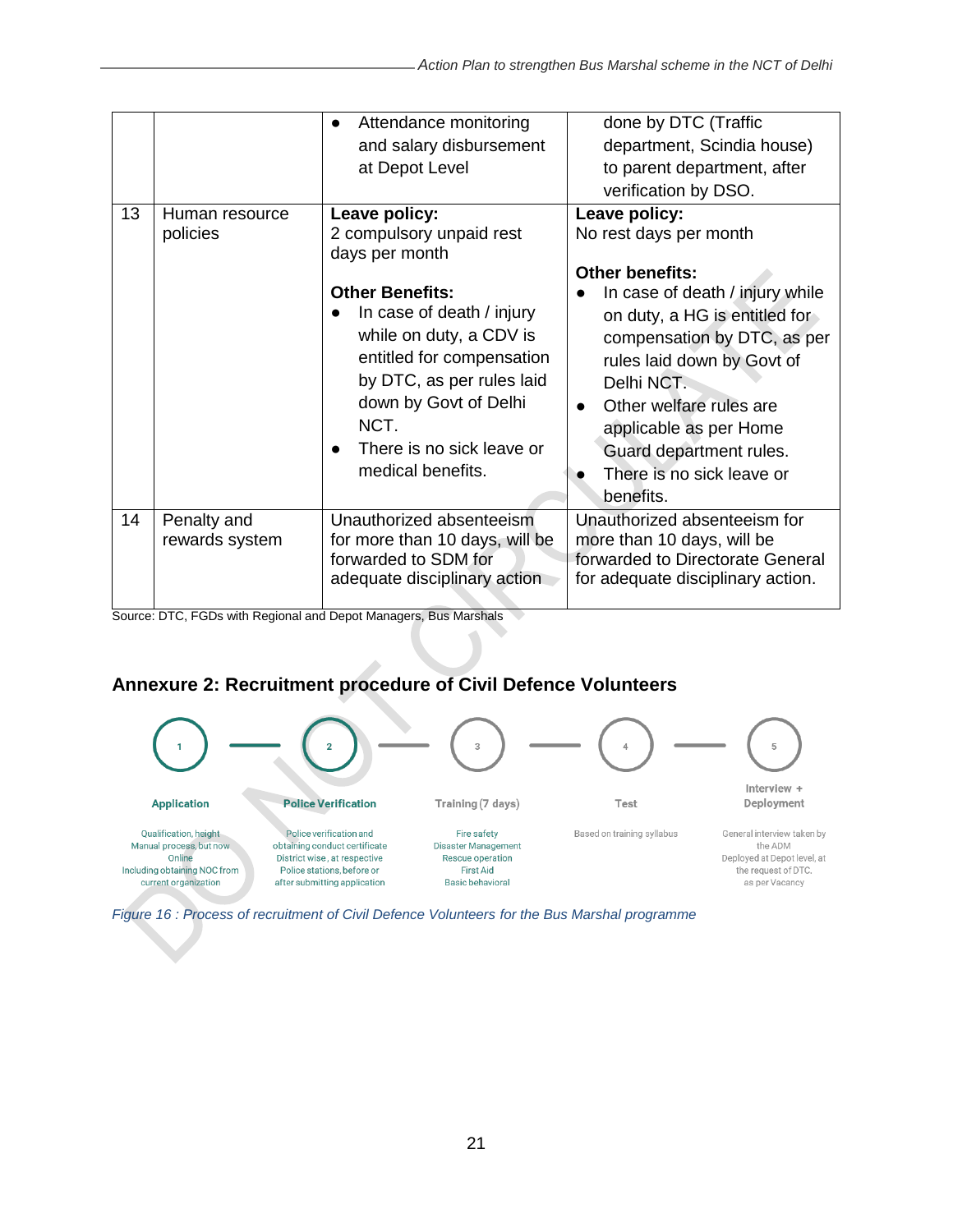|    |                               | Attendance monitoring<br>and salary disbursement<br>at Depot Level                                                                                                                                                                                                                         | done by DTC (Traffic<br>department, Scindia house)<br>to parent department, after<br>verification by DSO.                                                                                                                                                                                                                                               |
|----|-------------------------------|--------------------------------------------------------------------------------------------------------------------------------------------------------------------------------------------------------------------------------------------------------------------------------------------|---------------------------------------------------------------------------------------------------------------------------------------------------------------------------------------------------------------------------------------------------------------------------------------------------------------------------------------------------------|
| 13 | Human resource<br>policies    | Leave policy:<br>2 compulsory unpaid rest<br>days per month<br><b>Other Benefits:</b><br>In case of death / injury<br>while on duty, a CDV is<br>entitled for compensation<br>by DTC, as per rules laid<br>down by Govt of Delhi<br>NCT.<br>There is no sick leave or<br>medical benefits. | Leave policy:<br>No rest days per month<br><b>Other benefits:</b><br>In case of death / injury while<br>on duty, a HG is entitled for<br>compensation by DTC, as per<br>rules laid down by Govt of<br>Delhi NCT.<br>Other welfare rules are<br>$\bullet$<br>applicable as per Home<br>Guard department rules.<br>There is no sick leave or<br>benefits. |
| 14 | Penalty and<br>rewards system | Unauthorized absenteeism<br>for more than 10 days, will be<br>forwarded to SDM for<br>adequate disciplinary action                                                                                                                                                                         | Unauthorized absenteeism for<br>more than 10 days, will be<br>forwarded to Directorate General<br>for adequate disciplinary action.                                                                                                                                                                                                                     |

Source: DTC, FGDs with Regional and Depot Managers, Bus Marshals

# <span id="page-20-0"></span>**Annexure 2: Recruitment procedure of Civil Defence Volunteers**



<span id="page-20-1"></span>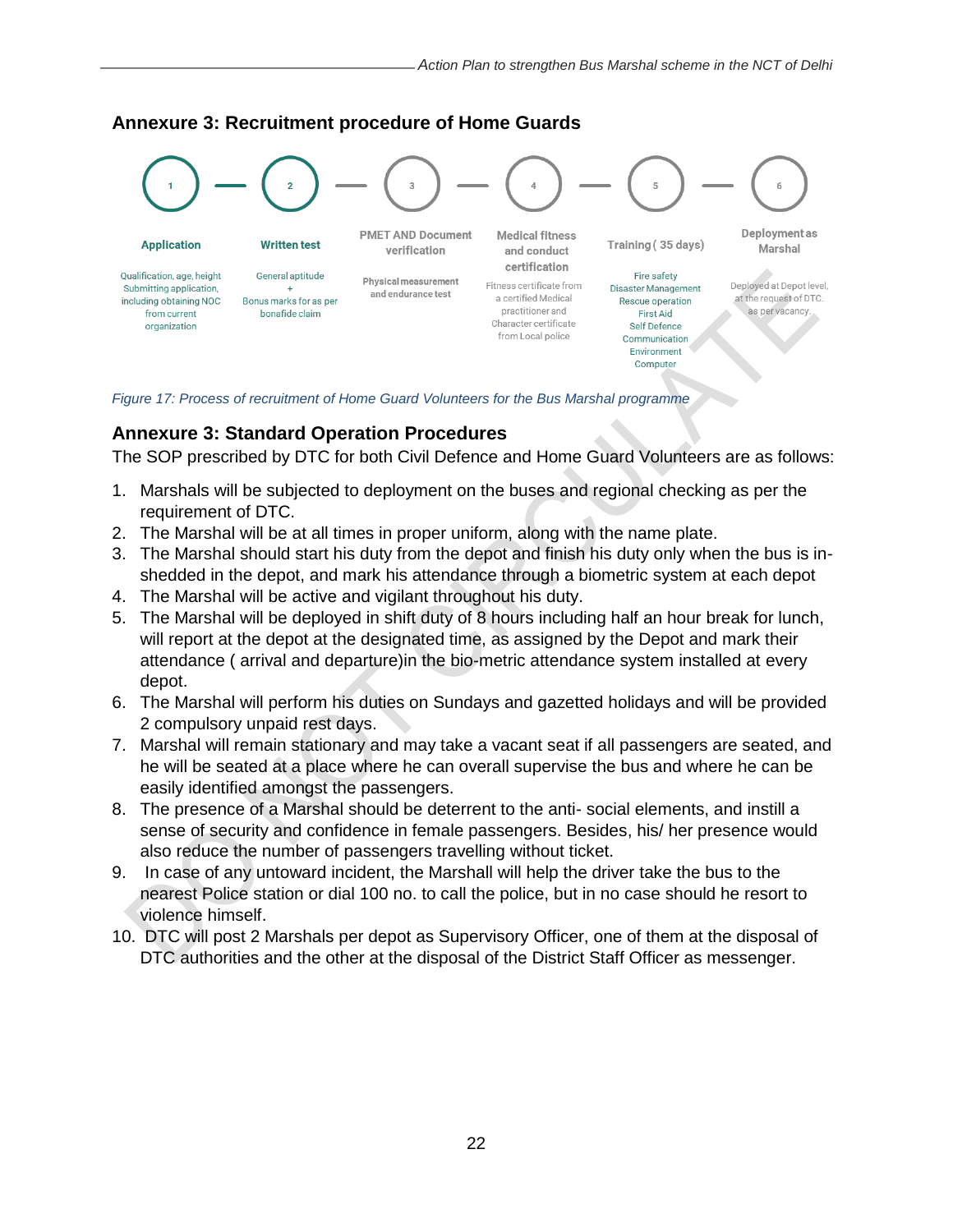

### <span id="page-21-0"></span>**Annexure 3: Recruitment procedure of Home Guards**

<span id="page-21-2"></span>*Figure 17: Process of recruitment of Home Guard Volunteers for the Bus Marshal programme*

#### <span id="page-21-1"></span>**Annexure 3: Standard Operation Procedures**

The SOP prescribed by DTC for both Civil Defence and Home Guard Volunteers are as follows:

- 1. Marshals will be subjected to deployment on the buses and regional checking as per the requirement of DTC.
- 2. The Marshal will be at all times in proper uniform, along with the name plate.
- 3. The Marshal should start his duty from the depot and finish his duty only when the bus is inshedded in the depot, and mark his attendance through a biometric system at each depot
- 4. The Marshal will be active and vigilant throughout his duty.
- 5. The Marshal will be deployed in shift duty of 8 hours including half an hour break for lunch, will report at the depot at the designated time, as assigned by the Depot and mark their attendance ( arrival and departure)in the bio-metric attendance system installed at every depot.
- 6. The Marshal will perform his duties on Sundays and gazetted holidays and will be provided 2 compulsory unpaid rest days.
- 7. Marshal will remain stationary and may take a vacant seat if all passengers are seated, and he will be seated at a place where he can overall supervise the bus and where he can be easily identified amongst the passengers.
- 8. The presence of a Marshal should be deterrent to the anti- social elements, and instill a sense of security and confidence in female passengers. Besides, his/ her presence would also reduce the number of passengers travelling without ticket.
- 9. In case of any untoward incident, the Marshall will help the driver take the bus to the nearest Police station or dial 100 no. to call the police, but in no case should he resort to violence himself.
- 10. DTC will post 2 Marshals per depot as Supervisory Officer, one of them at the disposal of DTC authorities and the other at the disposal of the District Staff Officer as messenger.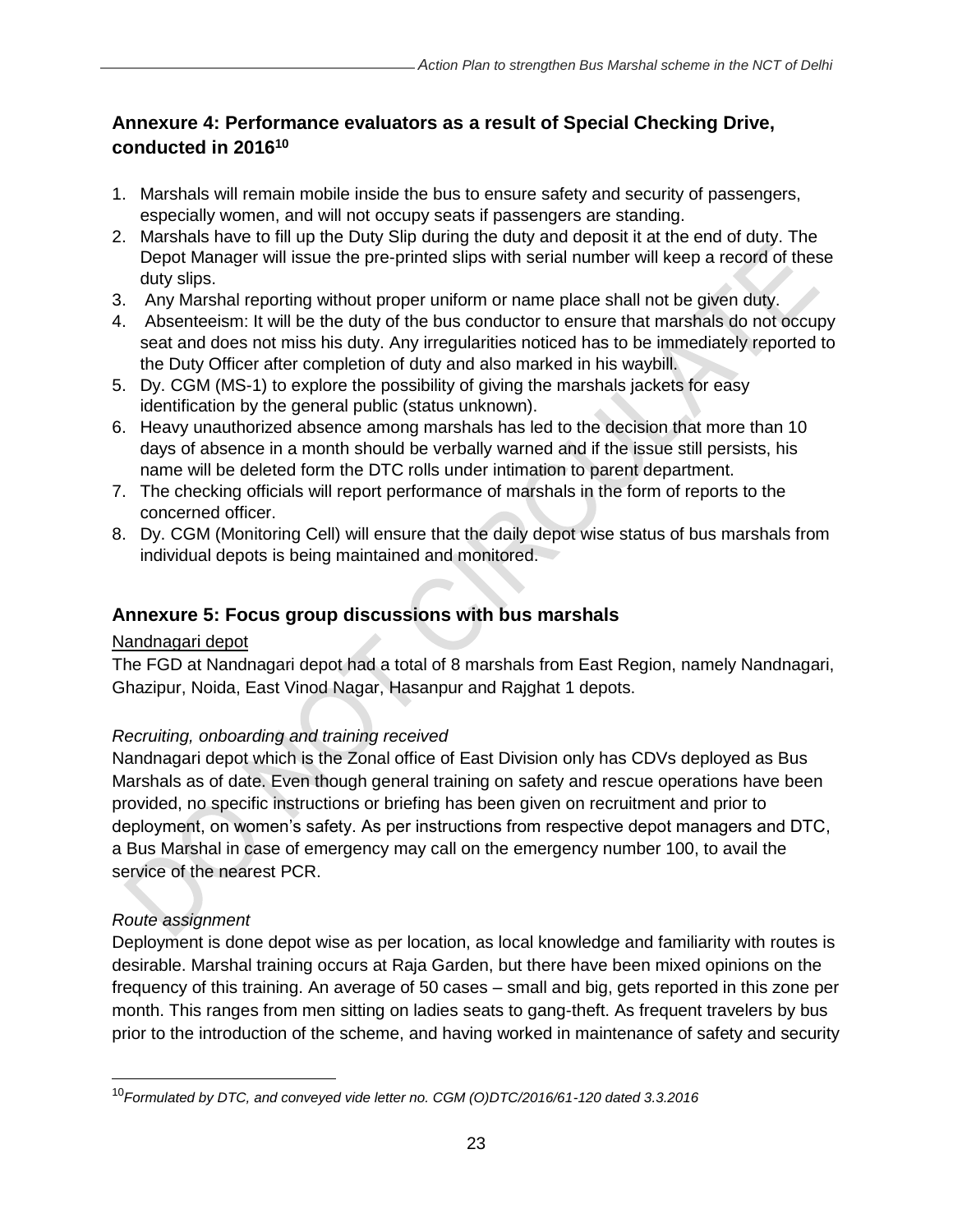# <span id="page-22-0"></span>**Annexure 4: Performance evaluators as a result of Special Checking Drive, conducted in 2016<sup>10</sup>**

- 1. Marshals will remain mobile inside the bus to ensure safety and security of passengers, especially women, and will not occupy seats if passengers are standing.
- 2. Marshals have to fill up the Duty Slip during the duty and deposit it at the end of duty. The Depot Manager will issue the pre-printed slips with serial number will keep a record of these duty slips.
- 3. Any Marshal reporting without proper uniform or name place shall not be given duty.
- 4. Absenteeism: It will be the duty of the bus conductor to ensure that marshals do not occupy seat and does not miss his duty. Any irregularities noticed has to be immediately reported to the Duty Officer after completion of duty and also marked in his waybill.
- 5. Dy. CGM (MS-1) to explore the possibility of giving the marshals jackets for easy identification by the general public (status unknown).
- 6. Heavy unauthorized absence among marshals has led to the decision that more than 10 days of absence in a month should be verbally warned and if the issue still persists, his name will be deleted form the DTC rolls under intimation to parent department.
- 7. The checking officials will report performance of marshals in the form of reports to the concerned officer.
- 8. Dy. CGM (Monitoring Cell) will ensure that the daily depot wise status of bus marshals from individual depots is being maintained and monitored.

# <span id="page-22-1"></span>**Annexure 5: Focus group discussions with bus marshals**

### Nandnagari depot

The FGD at Nandnagari depot had a total of 8 marshals from East Region, namely Nandnagari, Ghazipur, Noida, East Vinod Nagar, Hasanpur and Rajghat 1 depots.

# *Recruiting, onboarding and training received*

Nandnagari depot which is the Zonal office of East Division only has CDVs deployed as Bus Marshals as of date. Even though general training on safety and rescue operations have been provided, no specific instructions or briefing has been given on recruitment and prior to deployment, on women's safety. As per instructions from respective depot managers and DTC, a Bus Marshal in case of emergency may call on the emergency number 100, to avail the service of the nearest PCR.

# *Route assignment*

Deployment is done depot wise as per location, as local knowledge and familiarity with routes is desirable. Marshal training occurs at Raja Garden, but there have been mixed opinions on the frequency of this training. An average of 50 cases – small and big, gets reported in this zone per month. This ranges from men sitting on ladies seats to gang-theft. As frequent travelers by bus prior to the introduction of the scheme, and having worked in maintenance of safety and security

<sup>10</sup>*Formulated by DTC, and conveyed vide letter no. CGM (O)DTC/2016/61-120 dated 3.3.2016*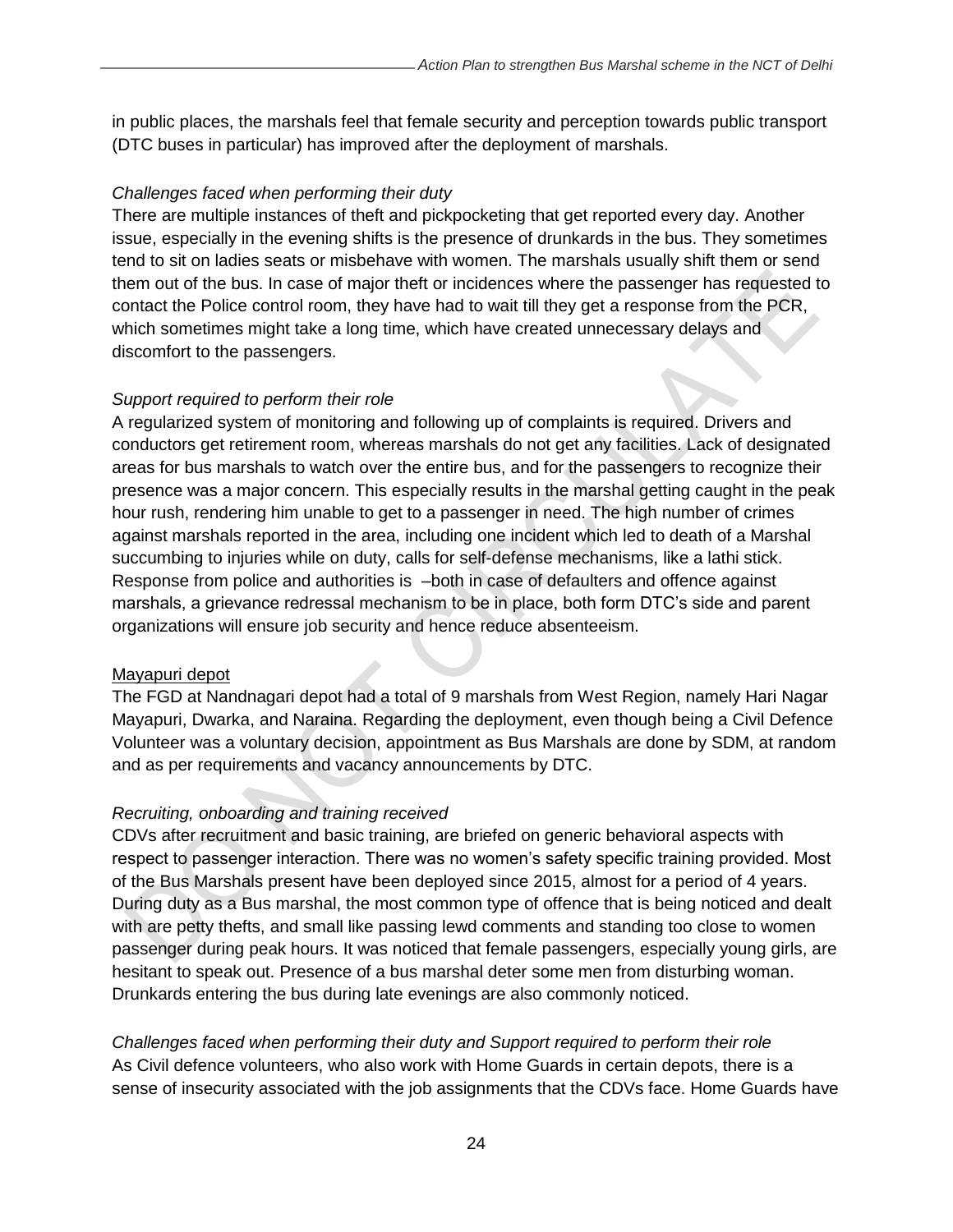in public places, the marshals feel that female security and perception towards public transport (DTC buses in particular) has improved after the deployment of marshals.

#### *Challenges faced when performing their duty*

There are multiple instances of theft and pickpocketing that get reported every day. Another issue, especially in the evening shifts is the presence of drunkards in the bus. They sometimes tend to sit on ladies seats or misbehave with women. The marshals usually shift them or send them out of the bus. In case of major theft or incidences where the passenger has requested to contact the Police control room, they have had to wait till they get a response from the PCR, which sometimes might take a long time, which have created unnecessary delays and discomfort to the passengers.

#### *Support required to perform their role*

A regularized system of monitoring and following up of complaints is required. Drivers and conductors get retirement room, whereas marshals do not get any facilities. Lack of designated areas for bus marshals to watch over the entire bus, and for the passengers to recognize their presence was a major concern. This especially results in the marshal getting caught in the peak hour rush, rendering him unable to get to a passenger in need. The high number of crimes against marshals reported in the area, including one incident which led to death of a Marshal succumbing to injuries while on duty, calls for self-defense mechanisms, like a lathi stick. Response from police and authorities is –both in case of defaulters and offence against marshals, a grievance redressal mechanism to be in place, both form DTC's side and parent organizations will ensure job security and hence reduce absenteeism.

#### Mayapuri depot

The FGD at Nandnagari depot had a total of 9 marshals from West Region, namely Hari Nagar Mayapuri, Dwarka, and Naraina. Regarding the deployment, even though being a Civil Defence Volunteer was a voluntary decision, appointment as Bus Marshals are done by SDM, at random and as per requirements and vacancy announcements by DTC.

### *Recruiting, onboarding and training received*

CDVs after recruitment and basic training, are briefed on generic behavioral aspects with respect to passenger interaction. There was no women's safety specific training provided. Most of the Bus Marshals present have been deployed since 2015, almost for a period of 4 years. During duty as a Bus marshal, the most common type of offence that is being noticed and dealt with are petty thefts, and small like passing lewd comments and standing too close to women passenger during peak hours. It was noticed that female passengers, especially young girls, are hesitant to speak out. Presence of a bus marshal deter some men from disturbing woman. Drunkards entering the bus during late evenings are also commonly noticed.

*Challenges faced when performing their duty and Support required to perform their role*  As Civil defence volunteers, who also work with Home Guards in certain depots, there is a sense of insecurity associated with the job assignments that the CDVs face. Home Guards have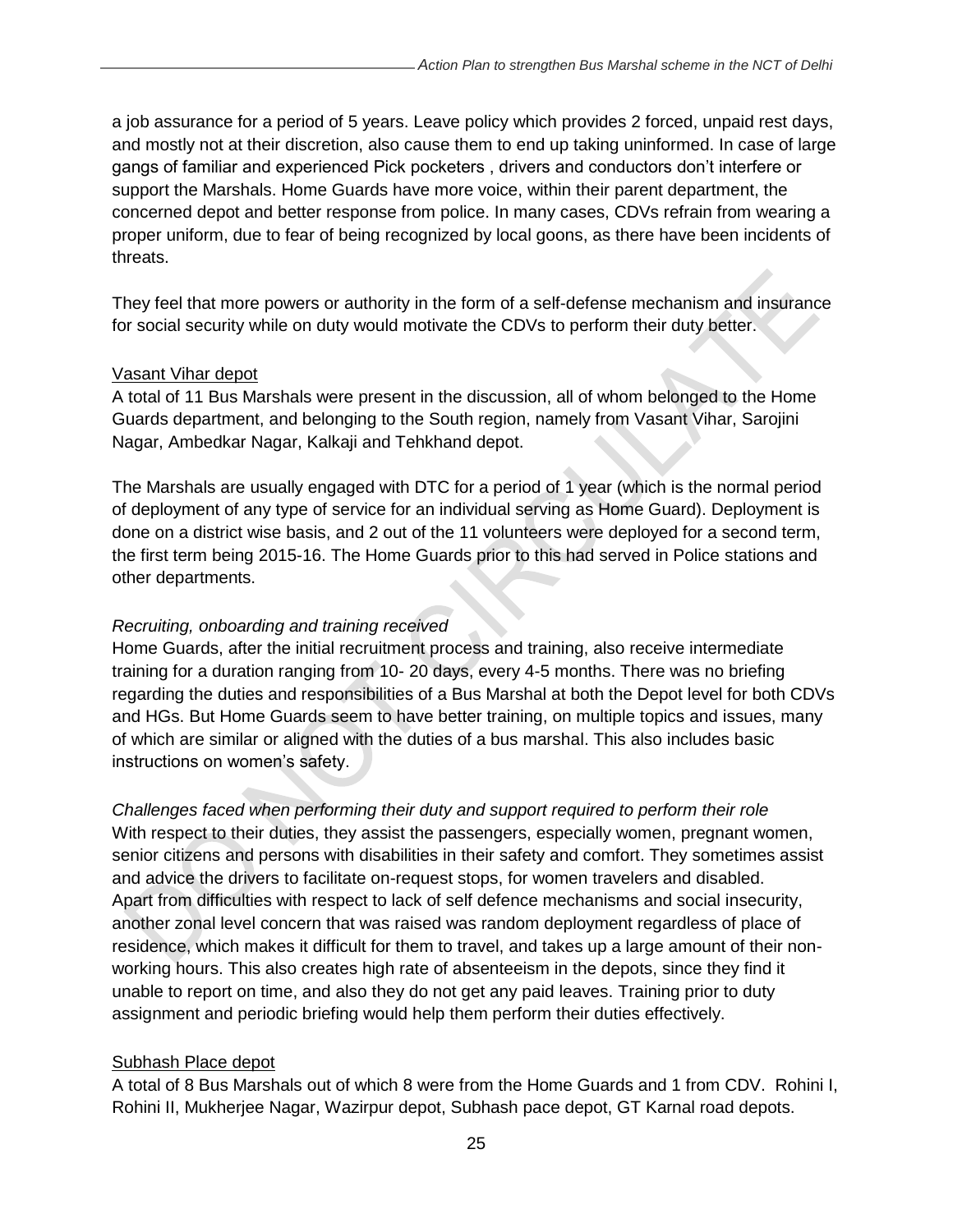a job assurance for a period of 5 years. Leave policy which provides 2 forced, unpaid rest days, and mostly not at their discretion, also cause them to end up taking uninformed. In case of large gangs of familiar and experienced Pick pocketers , drivers and conductors don't interfere or support the Marshals. Home Guards have more voice, within their parent department, the concerned depot and better response from police. In many cases, CDVs refrain from wearing a proper uniform, due to fear of being recognized by local goons, as there have been incidents of threats.

They feel that more powers or authority in the form of a self-defense mechanism and insurance for social security while on duty would motivate the CDVs to perform their duty better.

#### Vasant Vihar depot

A total of 11 Bus Marshals were present in the discussion, all of whom belonged to the Home Guards department, and belonging to the South region, namely from Vasant Vihar, Sarojini Nagar, Ambedkar Nagar, Kalkaji and Tehkhand depot.

The Marshals are usually engaged with DTC for a period of 1 year (which is the normal period of deployment of any type of service for an individual serving as Home Guard). Deployment is done on a district wise basis, and 2 out of the 11 volunteers were deployed for a second term, the first term being 2015-16. The Home Guards prior to this had served in Police stations and other departments.

#### *Recruiting, onboarding and training received*

Home Guards, after the initial recruitment process and training, also receive intermediate training for a duration ranging from 10- 20 days, every 4-5 months. There was no briefing regarding the duties and responsibilities of a Bus Marshal at both the Depot level for both CDVs and HGs. But Home Guards seem to have better training, on multiple topics and issues, many of which are similar or aligned with the duties of a bus marshal. This also includes basic instructions on women's safety.

*Challenges faced when performing their duty and support required to perform their role*  With respect to their duties, they assist the passengers, especially women, pregnant women, senior citizens and persons with disabilities in their safety and comfort. They sometimes assist and advice the drivers to facilitate on-request stops, for women travelers and disabled. Apart from difficulties with respect to lack of self defence mechanisms and social insecurity, another zonal level concern that was raised was random deployment regardless of place of residence, which makes it difficult for them to travel, and takes up a large amount of their nonworking hours. This also creates high rate of absenteeism in the depots, since they find it unable to report on time, and also they do not get any paid leaves. Training prior to duty assignment and periodic briefing would help them perform their duties effectively.

#### Subhash Place depot

A total of 8 Bus Marshals out of which 8 were from the Home Guards and 1 from CDV. Rohini I, Rohini II, Mukherjee Nagar, Wazirpur depot, Subhash pace depot, GT Karnal road depots.